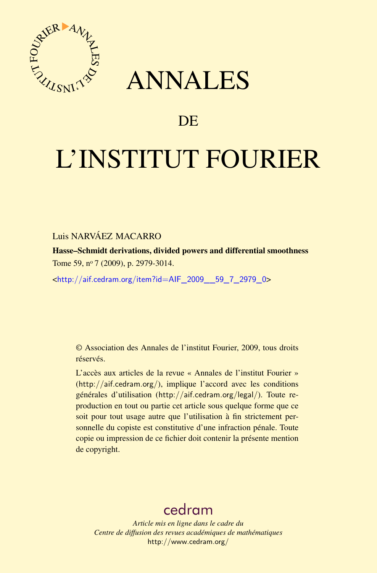

## ANNALES

## **DE**

# L'INSTITUT FOURIER

## Luis NARVÁEZ MACARRO

Hasse–Schmidt derivations, divided powers and differential smoothness Tome 59, nº 7 (2009), p. 2979-3014.

<[http://aif.cedram.org/item?id=AIF\\_2009\\_\\_59\\_7\\_2979\\_0](http://aif.cedram.org/item?id=AIF_2009__59_7_2979_0)>

© Association des Annales de l'institut Fourier, 2009, tous droits réservés.

L'accès aux articles de la revue « Annales de l'institut Fourier » (<http://aif.cedram.org/>), implique l'accord avec les conditions générales d'utilisation (<http://aif.cedram.org/legal/>). Toute reproduction en tout ou partie cet article sous quelque forme que ce soit pour tout usage autre que l'utilisation à fin strictement personnelle du copiste est constitutive d'une infraction pénale. Toute copie ou impression de ce fichier doit contenir la présente mention de copyright.

## [cedram](http://www.cedram.org/)

*Article mis en ligne dans le cadre du Centre de diffusion des revues académiques de mathématiques* <http://www.cedram.org/>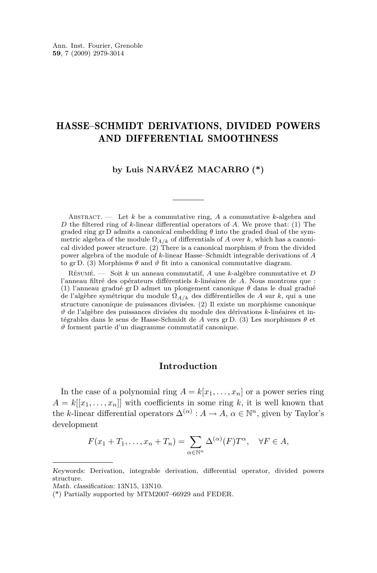## HASSE–SCHMIDT DERIVATIONS, DIVIDED POWERS AND DIFFERENTIAL SMOOTHNESS

#### **by Luis NARVÁEZ MACARRO (\*)**

ABSTRACT.  $\qquad$  Let *k* be a commutative ring, *A* a commutative *k*-algebra and *D* the filtered ring of *k*-linear differential operators of *A*. We prove that: (1) The graded ring gr D admits a canonical embedding  $\theta$  into the graded dual of the symmetric algebra of the module  $\Omega_{A/k}$  of differentials of *A* over *k*, which has a canonical divided power structure. (2) There is a canonical morphism  $\vartheta$  from the divided power algebra of the module of *k*-linear Hasse–Schmidt integrable derivations of *A* to gr D. (3) Morphisms  $\theta$  and  $\vartheta$  fit into a canonical commutative diagram.

Résumé. — Soit *k* un anneau commutatif, *A* une *k*-algèbre commutative et *D* l'anneau filtré des opérateurs différentiels *k*-linéaires de *A*. Nous montrons que : (1) l'anneau gradué gr D admet un plongement canonique *θ* dans le dual gradué de l'algèbre symétrique du module Ω*A/k* des différentielles de *A* sur *k*, qui a une structure canonique de puissances divisées. (2) Il existe un morphisme canonique *ϑ* de l'algèbre des puissances divisées du module des dérivations *k*-linéaires et intégrables dans le sens de Hasse-Schmidt de *A* vers gr D. (3) Les morphismes *θ* et *ϑ* forment partie d'un diagramme commutatif canonique.

#### **Introduction**

In the case of a polynomial ring  $A = k[x_1, \ldots, x_n]$  or a power series ring  $A = k[[x_1, \ldots, x_n]]$  with coefficients in some ring k, it is well known that the *k*-linear differential operators  $\Delta^{(\alpha)}$ :  $A \to A$ ,  $\alpha \in \mathbb{N}^n$ , given by Taylor's development

$$
F(x_1 + T_1, \dots, x_n + T_n) = \sum_{\alpha \in \mathbb{N}^n} \Delta^{(\alpha)}(F) T^{\alpha}, \quad \forall F \in A,
$$

Keywords: Derivation, integrable derivation, differential operator, divided powers structure.

Math. classification: 13N15, 13N10.

<sup>(\*)</sup> Partially supported by MTM2007–66929 and FEDER.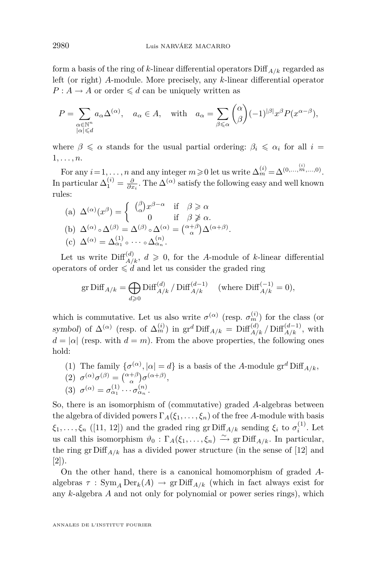form a basis of the ring of *k*-linear differential operators Diff*A/k* regarded as left (or right) *A*-module. More precisely, any *k*-linear differential operator  $P: A \to A$  or order  $\leq d$  can be uniquely written as

$$
P = \sum_{\substack{\alpha \in \mathbb{N}^n \\ |\alpha| \le d}} a_{\alpha} \Delta^{(\alpha)}, \quad a_{\alpha} \in A, \quad \text{with} \quad a_{\alpha} = \sum_{\beta \le \alpha} {\alpha \choose \beta} (-1)^{|\beta|} x^{\beta} P(x^{\alpha - \beta}),
$$

where  $\beta \leq \alpha$  stands for the usual partial ordering:  $\beta_i \leq \alpha_i$  for all  $i =$ 1*, . . . , n*.

For any  $i = 1, ..., n$  and any integer  $m \ge 0$  let us write  $\Delta_m^{(i)} = \Delta^{(0, ..., m, ..., 0)}$ . In particular  $\Delta_1^{(i)} = \frac{\partial}{\partial x_i}$ . The  $\Delta^{(\alpha)}$  satisfy the following easy and well known rules:

(a) 
$$
\Delta^{(\alpha)}(x^{\beta}) = \begin{cases} {\beta \choose \alpha} x^{\beta - \alpha} & \text{if } \beta \ge \alpha \\ 0 & \text{if } \beta \not\ge \alpha. \end{cases}
$$
  
\n(b)  $\Delta^{(\alpha)} \circ \Delta^{(\beta)} = \Delta^{(\beta)} \circ \Delta^{(\alpha)} = {\alpha + \beta \choose \alpha} \Delta^{(\alpha + \beta)}$ .  
\n(c)  $\Delta^{(\alpha)} = \Delta^{(1)}_{\alpha_1} \circ \cdots \circ \Delta^{(n)}_{\alpha_n}$ .

Let us write  $\text{Diff}_{A/k}^{(d)}$ ,  $d \geqslant 0$ , for the *A*-module of *k*-linear differential operators of order  $\leq d$  and let us consider the graded ring

$$
\operatorname{gr}\nolimits \operatorname{Diff}\nolimits_{A/k} = \bigoplus_{d \geqslant 0} \operatorname{Diff}\nolimits_{A/k}^{(d)} / \operatorname{Diff}\nolimits_{A/k}^{(d-1)} \quad \text{(where $\operatorname{Diff}\nolimits_{A/k}^{(-1)} = 0$),}
$$

which is commutative. Let us also write  $\sigma^{(\alpha)}$  (resp.  $\sigma^{(i)}_m$ ) for the class (or symbol) of  $\Delta^{(\alpha)}$  (resp. of  $\Delta^{(i)}_m$ ) in  $\mathrm{gr}^d$  Diff<sub>A/k</sub> =  $\mathrm{Diff}^{(d)}_{A/k}/\mathrm{Diff}^{(d-1)}_{A/k}$ , with  $d = |\alpha|$  (resp. with  $d = m$ ). From the above properties, the following ones hold:

- (1) The family  $\{\sigma^{(\alpha)}, |\alpha| = d\}$  is a basis of the *A*-module  $\mathrm{gr}^d \mathrm{Diff}_{A/k}$ ,
- (2)  $\sigma^{(\alpha)}\sigma^{(\beta)} = \binom{\alpha+\beta}{\alpha}\sigma^{(\alpha+\beta)},$
- (3)  $\sigma^{(\alpha)} = \sigma_{\alpha_1}^{(1)} \cdots \sigma_{\alpha_n}^{(n)}$ .

So, there is an isomorphism of (commutative) graded *A*-algebras between the algebra of divided powers  $\Gamma_A(\xi_1,\ldots,\xi_n)$  of the free *A*-module with basis  $\xi_1, \ldots, \xi_n$  ([\[11,](#page-35-0) [12\]](#page-35-0)) and the graded ring gr Diff<sub>*A/k*</sub> sending  $\xi_i$  to  $\sigma_i^{(1)}$ . Let us call this isomorphism  $\vartheta_0 : \Gamma_A(\xi_1, \ldots, \xi_n) \stackrel{\sim}{\to} \text{gr Diff}_{A/k}$ . In particular, the ring gr  $\text{Diff}_{A/k}$  has a divided power structure (in the sense of [\[12\]](#page-35-0) and [\[2\]](#page-35-0)).

On the other hand, there is a canonical homomorphism of graded *A*algebras  $\tau$ : Sym<sub>A</sub> Der<sub>k</sub>(A)  $\rightarrow$  gr Diff<sub>A/k</sub> (which in fact always exist for any *k*-algebra *A* and not only for polynomial or power series rings), which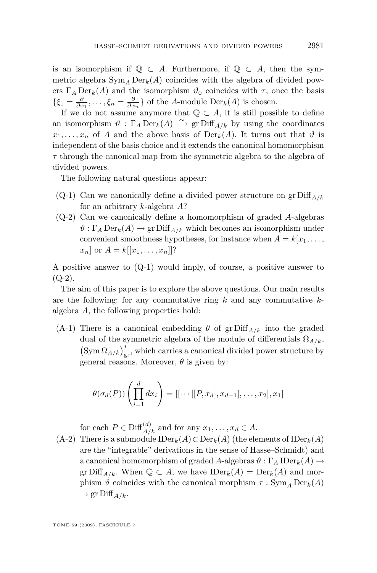is an isomorphism if  $\mathbb{Q} \subset A$ . Furthermore, if  $\mathbb{Q} \subset A$ , then the symmetric algebra  $Sym_A Der_k(A)$  coincides with the algebra of divided powers  $\Gamma_A \text{Der}_k(A)$  and the isomorphism  $\vartheta_0$  coincides with  $\tau$ , once the basis  $\{\xi_1 = \frac{\partial}{\partial x_1}, \dots, \xi_n = \frac{\partial}{\partial x_n}\}$  of the *A*-module Der<sub>*k*</sub>(*A*) is chosen.

If we do not assume anymore that  $\mathbb{Q} \subset A$ , it is still possible to define an isomorphism  $\vartheta : \Gamma_A \operatorname{Der}_k(A) \stackrel{\sim}{\to} \operatorname{gr}\operatorname{Diff}_{A/k}$  by using the coordinates  $x_1, \ldots, x_n$  of *A* and the above basis of  $Der_k(A)$ . It turns out that  $\vartheta$  is independent of the basis choice and it extends the canonical homomorphism *τ* through the canonical map from the symmetric algebra to the algebra of divided powers.

The following natural questions appear:

- (Q-1) Can we canonically define a divided power structure on  $\operatorname{gr} \text{Diff}_{A/k}$ for an arbitrary *k*-algebra *A*?
- (Q-2) Can we canonically define a homomorphism of graded *A*-algebras  $\vartheta$ :  $\Gamma_A \operatorname{Der}_k(A) \to \operatorname{gr} \operatorname{Diff}_{A/k}$  which becomes an isomorphism under convenient smoothness hypotheses, for instance when  $A = k[x_1, \ldots,$  $x_n$  or  $A = k[[x_1, \ldots, x_n]]$ ?

A positive answer to (Q-1) would imply, of course, a positive answer to  $(Q-2)$ .

The aim of this paper is to explore the above questions. Our main results are the following: for any commutative ring *k* and any commutative *k*algebra *A*, the following properties hold:

(A-1) There is a canonical embedding  $\theta$  of gr Diff<sub>A/k</sub> into the graded dual of the symmetric algebra of the module of differentials  $\Omega_{A/k}$ ,  $\left(\text{Sym}\,\Omega_{A/k}\right)^{*}_{\text{gr}},$  which carries a canonical divided power structure by general reasons. Moreover,  $\theta$  is given by:

$$
\theta(\sigma_d(P))\left(\prod_{i=1}^d dx_i\right) = [[\cdots [[P, x_d], x_{d-1}], \dots, x_2], x_1]
$$

for each  $P \in \text{Diff}^{(d)}_{A/k}$  and for any  $x_1, \ldots, x_d \in A$ .

(A-2) There is a submodule IDer*k*(*A*)*⊂*Der*k*(*A*) (the elements of IDer*k*(*A*) are the "integrable" derivations in the sense of Hasse–Schmidt) and a canonical homomorphism of graded *A*-algebras  $\vartheta : \Gamma_A \text{IDer}_k(A) \rightarrow$ gr Diff<sub>*A/k*</sub>. When  $\mathbb{Q} \subset A$ , we have  $\text{IDer}_k(A) = \text{Der}_k(A)$  and morphism  $\vartheta$  coincides with the canonical morphism  $\tau : \text{Sym}_A \text{Der}_k(A)$  $\rightarrow$  gr Diff<sub>*A/k*</sub>.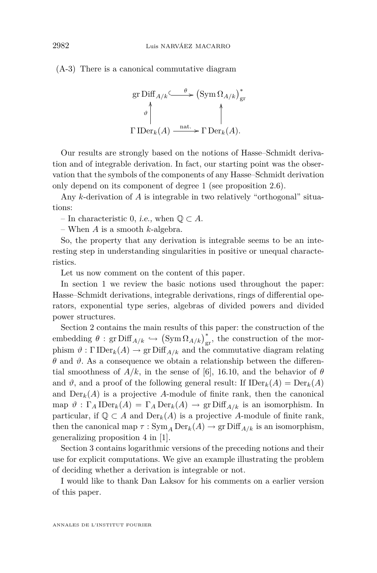(A-3) There is a canonical commutative diagram

gr Diff<sub>A/k</sub>
$$
\xrightarrow{\theta}
$$
 (Sym  $\Omega_{A/k}$ )<sup>\*</sup><sub>gr</sub>  
\n<sup>\*</sup> $\downarrow$   
\n $\Gamma \operatorname{IDer}_k(A) \xrightarrow{\text{nat.}} \Gamma \operatorname{Der}_k(A).$ 

Our results are strongly based on the notions of Hasse–Schmidt derivation and of integrable derivation. In fact, our starting point was the observation that the symbols of the components of any Hasse–Schmidt derivation only depend on its component of degree 1 (see proposition [2.6\)](#page-24-0).

Any *k*-derivation of *A* is integrable in two relatively "orthogonal" situations:

– In characteristic 0, i.e., when Q *⊂ A*.

– When *A* is a smooth *k*-algebra.

So, the property that any derivation is integrable seems to be an interesting step in understanding singularities in positive or unequal characteristics.

Let us now comment on the content of this paper.

In section 1 we review the basic notions used throughout the paper: Hasse–Schmidt derivations, integrable derivations, rings of differential operators, exponential type series, algebras of divided powers and divided power structures.

Section [2](#page-18-0) contains the main results of this paper: the construction of the embedding  $\theta$  : gr Diff<sub>*A/k*</sub>  $\hookrightarrow$  (Sym  $\Omega_{A/k}$ )<sub>gr</sub>, the construction of the morphism  $\vartheta : \Gamma \text{IDer}_k(A) \to \text{gr Diff}_{A/k}$  and the commutative diagram relating *θ* and *ϑ*. As a consequence we obtain a relationship between the differential smoothness of  $A/k$ , in the sense of [\[6\]](#page-35-0), 16.10, and the behavior of  $\theta$ and  $\vartheta$ , and a proof of the following general result: If  $\text{IDer}_k(A) = \text{Der}_k(A)$ and  $Der_k(A)$  is a projective A-module of finite rank, then the canonical map  $\vartheta$ :  $\Gamma_A \text{IDer}_k(A) = \Gamma_A \text{Der}_k(A) \rightarrow \text{gr Diff}_{A/k}$  is an isomorphism. In particular, if  $\mathbb{Q} \subset A$  and  $\text{Der}_k(A)$  is a projective A-module of finite rank, then the canonical map  $\tau : \text{Sym}_A \text{Der}_k(A) \to \text{gr}\text{Diff}_{A/k}$  is an isomorphism, generalizing proposition 4 in [\[1\]](#page-35-0).

Section [3](#page-31-0) contains logarithmic versions of the preceding notions and their use for explicit computations. We give an example illustrating the problem of deciding whether a derivation is integrable or not.

I would like to thank Dan Laksov for his comments on a earlier version of this paper.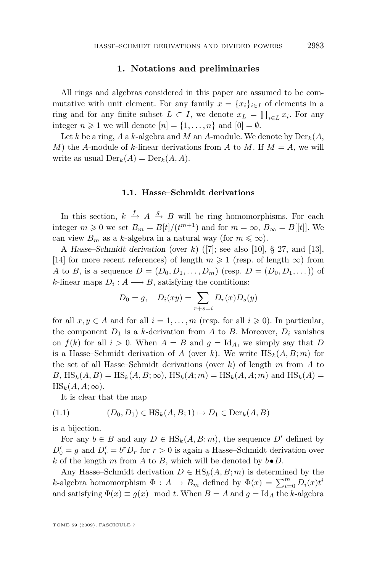#### **1. Notations and preliminaries**

<span id="page-5-0"></span>All rings and algebras considered in this paper are assumed to be commutative with unit element. For any family  $x = \{x_i\}_{i \in I}$  of elements in a ring and for any finite subset  $L \subset I$ , we denote  $x_L = \prod_{i \in L} x_i$ . For any integer  $n \geq 1$  we will denote  $[n] = \{1, \ldots, n\}$  and  $[0] = \emptyset$ .

Let *k* be a ring, *A* a *k*-algebra and *M* an *A*-module. We denote by  $Der_k(A,$ *M*) the *A*-module of *k*-linear derivations from *A* to *M*. If  $M = A$ , we will write as usual  $\text{Der}_k(A) = \text{Der}_k(A, A)$ .

#### **1.1. Hasse–Schmidt derivations**

In this section,  $k \stackrel{f}{\to} A \stackrel{g}{\to} B$  will be ring homomorphisms. For each integer  $m \ge 0$  we set  $B_m = B[t]/(t^{m+1})$  and for  $m = \infty$ ,  $B_{\infty} = B[[t]]$ . We can view  $B_m$  as a *k*-algebra in a natural way (for  $m \leq \infty$ ).

A Hasse–Schmidt derivation (over *k*) ([\[7\]](#page-35-0); see also [\[10\]](#page-35-0), § 27, and [\[13\]](#page-36-0), [\[14\]](#page-36-0) for more recent references) of length  $m \geq 1$  (resp. of length  $\infty$ ) from *A* to *B*, is a sequence  $D = (D_0, D_1, \ldots, D_m)$  (resp.  $D = (D_0, D_1, \ldots)$ ) of *k*-linear maps  $D_i: A \longrightarrow B$ , satisfying the conditions:

$$
D_0 = g, \quad D_i(xy) = \sum_{r+s=i} D_r(x)D_s(y)
$$

for all  $x, y \in A$  and for all  $i = 1, \ldots, m$  (resp. for all  $i \geq 0$ ). In particular, the component  $D_1$  is a *k*-derivation from *A* to *B*. Moreover,  $D_i$  vanishes on  $f(k)$  for all  $i > 0$ . When  $A = B$  and  $g = Id<sub>A</sub>$ , we simply say that *D* is a Hasse–Schmidt derivation of *A* (over *k*). We write  $\text{HS}_k(A, B; m)$  for the set of all Hasse–Schmidt derivations (over *k*) of length *m* from *A* to  $B, \text{ HS}_{k}(A, B) = \text{HS}_{k}(A, B; \infty), \text{ HS}_{k}(A; m) = \text{HS}_{k}(A, A; m) \text{ and } \text{HS}_{k}(A) =$  $\text{HS}_k(A, A; \infty)$ .

It is clear that the map

$$
(1.1) \t(D_0, D_1) \in \text{HS}_k(A, B; 1) \mapsto D_1 \in \text{Der}_k(A, B)
$$

is a bijection.

For any  $b \in B$  and any  $D \in HS_k(A, B; m)$ , the sequence  $D'$  defined by  $D'_0 = g$  and  $D'_r = b^r D_r$  for  $r > 0$  is again a Hasse–Schmidt derivation over *k* of the length *m* from *A* to *B*, which will be denoted by  $b \cdot D$ .

Any Hasse–Schmidt derivation  $D \in HS_k(A, B; m)$  is determined by the *k*-algebra homomorphism  $\Phi: A \to B_m$  defined by  $\Phi(x) = \sum_{i=0}^m D_i(x)t^i$ and satisfying  $\Phi(x) \equiv g(x) \mod t$ . When  $B = A$  and  $g = \text{Id}_A$  the *k*-algebra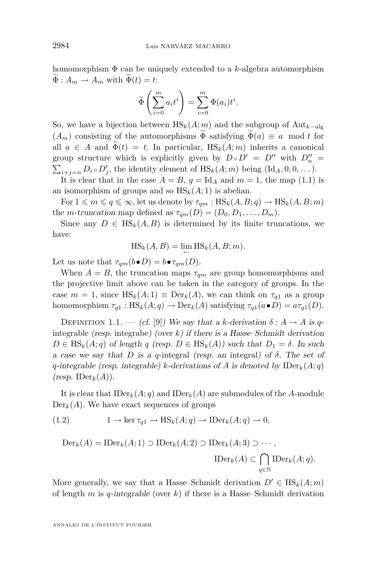<span id="page-6-0"></span>homomorphism Φ can be uniquely extended to a *k*-algebra automorphism  $\widetilde{\Phi}: A_m \to A_m$  with  $\widetilde{\Phi}(t) = t$ :

$$
\widetilde{\Phi}\left(\sum_{i=0}^m a_i t^i\right) = \sum_{i=0}^m \Phi(a_i) t^i.
$$

So, we have a bijection between  $\text{HS}_k(A; m)$  and the subgroup of  $\text{Aut}_{k-\text{alg}}$  $(A_m)$  consisting of the automorphisms  $\widetilde{\Phi}$  satisfying  $\widetilde{\Phi}(a) \equiv a \mod t$  for all  $a \in A$  and  $\widetilde{\Phi}(t) = t$ . In particular,  $\text{HS}_k(A; m)$  inherits a canonical group structure which is explicitly given by  $D \circ D' = D''$  with  $D''_n =$  $\sum_{i+j=n} D_i \circ D'_j$ , the identity element of  $\text{HS}_k(A; m)$  being  $(\text{Id}_A, 0, 0, \dots)$ .

It is clear that in the case  $A = B$ ,  $g = \text{Id}_A$  and  $m = 1$ , the map [\(1.1\)](#page-5-0) is an isomorphism of groups and so  $\text{HS}_k(A; 1)$  is abelian.

For  $1 \leq m \leq q \leq \infty$ , let us denote by  $\tau_{qm}: \text{HS}_k(A, B; q) \to \text{HS}_k(A, B; m)$ the *m*-truncation map defined as  $\tau_{qm}(D) = (D_0, D_1, \ldots, D_m)$ .

Since any  $D \in \text{HS}_k(A, B)$  is determined by its finite truncations, we have:

$$
HS_k(A, B) = \lim_{\leftarrow} HS_k(A, B; m).
$$

Let us note that  $\tau_{qm}(b \bullet D) = b \bullet \tau_{qm}(D)$ .

When  $A = B$ , the truncation maps  $\tau_{qm}$  are group homomorphisms and the projective limit above can be taken in the category of groups. In the case  $m = 1$ , since  $\text{HS}_k(A; 1) \equiv \text{Der}_k(A)$ , we can think on  $\tau_{q1}$  as a group homomorphism  $\tau_{q1}$ : HS<sub>k</sub>(*A*; *q*)  $\rightarrow$  Der<sub>k</sub>(*A*) satisfying  $\tau_{q1}(a \bullet D) = a \tau_{q1}(D)$ .

DEFINITION 1.1. — (cf. [\[9\]](#page-35-0)) We say that a *k*-derivation  $\delta : A \rightarrow A$  is qintegrable (resp. integrabe) (over  $k$ ) if there is a Hasse–Schmidt derivation  $D \in \text{HS}_k(A; q)$  of length *q* (resp.  $D \in \text{HS}_k(A)$ ) such that  $D_1 = \delta$ . In such a case we say that *D* is a *q*-integral (resp. an integral) of *δ*. The set of *q*-integrable (resp. integrable) *k*-derivations of *A* is denoted by  $\text{IDer}_k(A; q)$  $(rosp. \text{ IDer}_k(A)).$ 

It is clear that  $\text{IDer}_k(A; q)$  and  $\text{IDer}_k(A)$  are submodules of the *A*-module  $Der_k(A)$ . We have exact sequences of groups

(1.2) 
$$
1 \to \ker \tau_{q1} \to \text{HS}_k(A; q) \to \text{IDer}_k(A; q) \to 0,
$$

$$
\text{Der}_k(A) = \text{IDer}_k(A; 1) \supset \text{IDer}_k(A; 2) \supset \text{IDer}_k(A; 3) \supset \cdots,
$$

$$
\text{IDer}_k(A) \subset \bigcap_{q \in \mathbb{N}} \text{IDer}_k(A; q).
$$

More generally, we say that a Hasse–Schmidt derivation  $D' \in HS_k(A; m)$ of length *m* is *q*-integrable (over *k*) if there is a Hasse–Schmidt derivation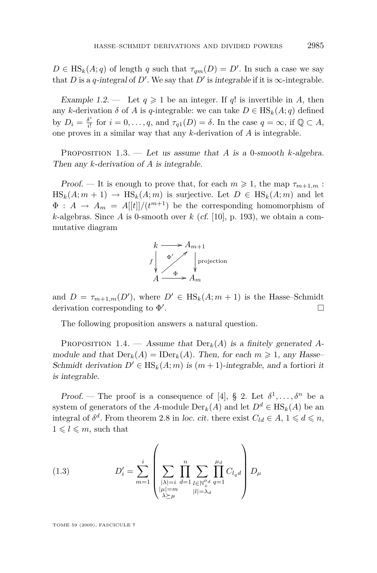<span id="page-7-0"></span> $D \in HS_k(A; q)$  of length *q* such that  $\tau_{qm}(D) = D'$ . In such a case we say that *D* is a *q*-integral of *D'*. We say that *D'* is integrable if it is  $\infty$ -integrable.

Example 1.2. — Let  $q \geq 1$  be an integer. If  $q!$  is invertible in A, then any *k*-derivation  $\delta$  of *A* is *q*-integrable: we can take  $D \in HS_k(A; q)$  defined by  $D_i = \frac{\delta^i}{i!}$  $\frac{\delta^i}{i!}$  for  $i = 0, \ldots, q$ , and  $\tau_{q1}(D) = \delta$ . In the case  $q = \infty$ , if  $\mathbb{Q} \subset A$ , one proves in a similar way that any *k*-derivation of *A* is integrable.

Proposition 1.3. — Let us assume that *A* is a 0-smooth *k*-algebra. Then any *k*-derivation of *A* is integrable.

Proof. — It is enough to prove that, for each  $m \geq 1$ , the map  $\tau_{m+1,m}$ :  $\text{HS}_k(A; m + 1) \rightarrow \text{HS}_k(A; m)$  is surjective. Let  $D \in \text{HS}_k(A; m)$  and let  $\Phi: A \to A_m = A[[t]]/(t^{m+1})$  be the corresponding homomorphism of *k*-algebras. Since *A* is 0-smooth over  $k$  (cf. [\[10\]](#page-35-0), p. 193), we obtain a commutative diagram



and  $D = \tau_{m+1,m}(D')$ , where  $D' \in HS_k(A; m+1)$  is the Hasse–Schmidt derivation corresponding to  $Φ'$ . В последните поставите на селото на селото на селото на селото на селото на селото на селото на селото на се<br>Селото на селото на селото на селото на селото на селото на селото на селото на селото на селото на селото на

The following proposition answers a natural question.

PROPOSITION 1.4. — Assume that  $Der_k(A)$  is a finitely generated Amodule and that  $Der_k(A) = IDer_k(A)$ . Then, for each  $m \geq 1$ , any Hasse-Schmidt derivation  $D' \in \text{HS}_k(A; m)$  is  $(m + 1)$ -integrable, and a fortiori it is integrable.

Proof. — The proof is a consequence of [\[4\]](#page-35-0), § 2. Let  $\delta^1, \ldots, \delta^n$  be a system of generators of the *A*-module  $Der_k(A)$  and let  $D^d \in HS_k(A)$  be an integral of  $\delta^d$ . From theorem 2.8 in loc. cit. there exist  $C_{ld} \in A$ ,  $1 \leq d \leq n$ ,  $1 \leqslant l \leqslant m$ , such that

(1.3) 
$$
D'_{i} = \sum_{m=1}^{i} \left( \sum_{\substack{|\lambda|=i \\ |\mu|=m \\ \lambda \succeq \mu}} \prod_{\substack{d=1 \\ l \in \mathbb{N}_{+}^{\mu_{d}}}}^{\mu_{d}} \sum_{q=1}^{\mu_{d}} C_{l_{q}d} \right) D_{\mu}
$$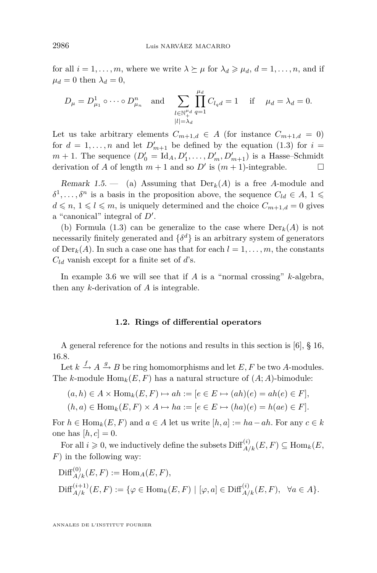<span id="page-8-0"></span>for all  $i = 1, \ldots, m$ , where we write  $\lambda \succeq \mu$  for  $\lambda_d \geq \mu_d$ ,  $d = 1, \ldots, n$ , and if  $\mu_d = 0$  then  $\lambda_d = 0$ ,

$$
D_{\mu} = D_{\mu_1}^1 \circ \cdots \circ D_{\mu_n}^n
$$
 and  $\sum_{\substack{l \in \mathbb{N}_+^{n_d} \\ |l| = \lambda_d}} \prod_{q=1}^{\mu_d} C_{l_q d} = 1$  if  $\mu_d = \lambda_d = 0$ .

Let us take arbitrary elements  $C_{m+1,d} \in A$  (for instance  $C_{m+1,d} = 0$ ) for  $d = 1, \ldots, n$  and let  $D'_{m+1}$  be defined by the equation [\(1.3\)](#page-7-0) for  $i =$  $m + 1$ . The sequence  $(D'_0 = \text{Id}_A, D'_1, \ldots, D'_m, D'_{m+1})$  is a Hasse–Schmidt derivation of *A* of length  $m + 1$  and so *D'* is  $(m + 1)$ -integrable.

Remark 1.5.  $\qquad$  (a) Assuming that  $Der_k(A)$  is a free *A*-module and  $\delta^1, \ldots, \delta^n$  is a basis in the proposition above, the sequence  $C_{ld} \in A$ ,  $1 \leq$  $d \le n, 1 \le l \le m$ , is uniquely determined and the choice  $C_{m+1,d} = 0$  gives a "canonical" integral of  $D'$ .

(b) Formula [\(1.3\)](#page-7-0) can be generalize to the case where  $Der_k(A)$  is not necessarily finitely generated and  $\{\delta^d\}$  is an arbitrary system of generators of  $Der_k(A)$ . In such a case one has that for each  $l = 1, \ldots, m$ , the constants *Cld* vanish except for a finite set of *d*'s.

In example [3.6](#page-33-0) we will see that if *A* is a "normal crossing" *k*-algebra, then any *k*-derivation of *A* is integrable.

#### **1.2. Rings of differential operators**

A general reference for the notions and results in this section is  $[6]$ , § 16, 16.8.

Let  $k \stackrel{f}{\to} A \stackrel{g}{\to} B$  be ring homomorphisms and let  $E, F$  be two *A*-modules. The *k*-module  $\text{Hom}_k(E, F)$  has a natural structure of  $(A; A)$ -bimodule:

$$
(a,h) \in A \times \text{Hom}_k(E,F) \mapsto ah := [e \in E \mapsto (ah)(e) = ah(e) \in F],
$$

$$
(h, a) \in \text{Hom}_k(E, F) \times A \mapsto ha := [e \in E \mapsto (ha)(e) = h(ae) \in F].
$$

For  $h \in \text{Hom}_k(E, F)$  and  $a \in A$  let us write  $[h, a] := ha - ah$ . For any  $c \in k$ one has  $[h, c] = 0$ .

 $\text{For all } i \geqslant 0$ , we inductively define the subsets  $\text{Diff}^{(i)}_{A/k}(E, F) \subseteq \text{Hom}_k(E, F)$ *F*) in the following way:

$$
\text{Diff}_{A/k}^{(0)}(E, F) := \text{Hom}_A(E, F),
$$
  
\n
$$
\text{Diff}_{A/k}^{(i+1)}(E, F) := \{ \varphi \in \text{Hom}_k(E, F) \mid [\varphi, a] \in \text{Diff}_{A/k}^{(i)}(E, F), \ \forall a \in A \}.
$$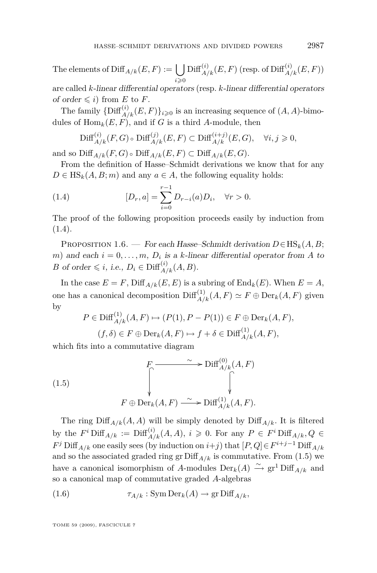<span id="page-9-0"></span>The elements of  $\text{Diff}_{A/k}(E, F) := \bigcup$ *i*>0  $\mathrm{Diff}^{(i)}_{A/k}(E,F)$  (resp. of  $\mathrm{Diff}^{(i)}_{A/k}(E,F))$ 

are called *k*-linear differential operators (resp. *k*-linear differential operators of order  $\leq i$ ) from *E* to *F*.

The family  ${\{\text{Diff}^{(i)}_{A/k}(E,F)\}}_{i\geqslant0}$  is an increasing sequence of  $(A, A)$ -bimodules of  $\text{Hom}_k(E, F)$ , and if *G* is a third *A*-module, then

$$
\mathrm{Diff}^{(i)}_{A/k}(F,G) \circ \mathrm{Diff}^{(j)}_{A/k}(E,F) \subset \mathrm{Diff}^{(i+j)}_{A/k}(E,G), \quad \forall i,j \geq 0,
$$

and so  $\text{Diff}_{A/k}(F,G) \circ \text{Diff}_{A/k}(E,F) \subset \text{Diff}_{A/k}(E,G).$ 

From the definition of Hasse–Schmidt derivations we know that for any  $D \in \text{HS}_k(A, B; m)$  and any  $a \in A$ , the following equality holds:

(1.4) 
$$
[D_r, a] = \sum_{i=0}^{r-1} D_{r-i}(a) D_i, \quad \forall r > 0.
$$

The proof of the following proposition proceeds easily by induction from (1.4).

PROPOSITION 1.6. — For each Hasse–Schmidt derivation  $D \in HS_k(A, B;$ *m*) and each  $i = 0, \ldots, m, D_i$  is a *k*-linear differential operator from *A* to *B* of order  $\leq i$ , i.e.,  $D_i \in \text{Diff}^{(i)}_{A/k}(A, B)$ .

In the case  $E = F$ ,  $\text{Diff}_{A/k}(E, E)$  is a subring of  $\text{End}_k(E)$ . When  $E = A$ , one has a canonical decomposition  $\text{Diff}^{(1)}_{A/k}(A, F) \simeq F \oplus \text{Der}_k(A, F)$  given by

$$
P \in \text{Diff}_{A/k}^{(1)}(A, F) \mapsto (P(1), P - P(1)) \in F \oplus \text{Der}_k(A, F),
$$
  

$$
(f, \delta) \in F \oplus \text{Der}_k(A, F) \mapsto f + \delta \in \text{Diff}_{A/k}^{(1)}(A, F),
$$

which fits into a commutative diagram

(1.5)  

$$
\begin{array}{ccc}\n & F & \xrightarrow{\sim} \text{Diff}_{A/k}^{(0)}(A, F) \\
 & \downarrow^{\sim} & \downarrow^{\sim} \\
 & F \oplus \text{Der}_k(A, F) \xrightarrow{\sim} \text{Diff}_{A/k}^{(1)}(A, F).\n\end{array}
$$

The ring  $\text{Diff}_{A/k}(A, A)$  will be simply denoted by  $\text{Diff}_{A/k}$ . It is filtered by the  $F^i$  Diff<sub> $A/k$ </sub> := Diff $\binom{i}{A/k}(A, A)$ ,  $i \geq 0$ . For any  $P \in F^i$  Diff<sub> $A/k$ </sub>,  $Q \in$  $F^j$  Diff<sub>*A/k*</sub> one easily sees (by induction on *i*+*j*) that  $[P,Q] \in F^{i+j-1}$  Diff<sub>*A/k*</sub> and so the associated graded ring gr  $\text{Diff}_{A/k}$  is commutative. From (1.5) we have a canonical isomorphism of *A*-modules  $Der_k(A) \xrightarrow{\sim} gr^1 Diff_{A/k}$  and so a canonical map of commutative graded *A*-algebras

(1.6) 
$$
\tau_{A/k}: \text{SymDer}_k(A) \to \text{gr Diff}_{A/k},
$$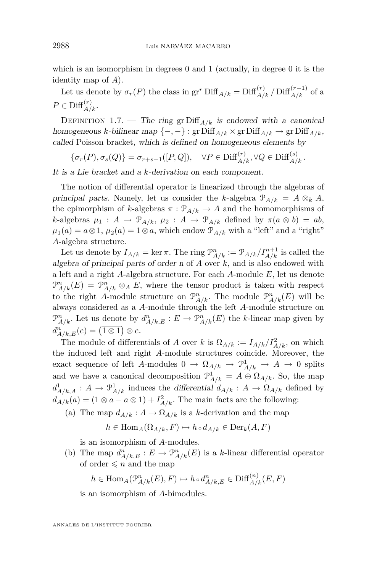<span id="page-10-0"></span>which is an isomorphism in degrees 0 and 1 (actually, in degree 0 it is the identity map of *A*).

Let us denote by  $\sigma_r(P)$  the class in gr<sup>*r*</sup> Diff<sub>*A/k*</sub> = Diff<sup>(*r*)</sup>*A/k /* Diff<sub>*A/k*</sub> of a  $P \in \mathrm{Diff}^{(r)}_{A/k}.$ 

DEFINITION 1.7. — The ring gr Diff<sub> $A/k$ </sub> is endowed with a canonical homogeneous *k*-bilinear map *{−, −}* : gr Diff*A/k ×* gr Diff*A/k →* gr Diff*A/k*, called Poisson bracket, which is defined on homogeneous elements by

 $\{\sigma_r(P), \sigma_s(Q)\} = \sigma_{r+s-1}([P,Q]), \quad \forall P \in \text{Diff}_{A/k}^{(r)}, \forall Q \in \text{Diff}_{A/k}^{(s)}\}.$ 

It is a Lie bracket and a *k*-derivation on each component.

The notion of differential operator is linearized through the algebras of principal parts. Namely, let us consider the *k*-algebra  $\mathcal{P}_{A/k} = A \otimes_k A$ , the epimorphism of *k*-algebras  $\pi$ :  $\mathcal{P}_{A/k} \rightarrow A$  and the homomorphisms of *k*-algebras  $\mu_1$ :  $A \rightarrow \mathcal{P}_{A/k}$ ,  $\mu_2$ :  $A \rightarrow \mathcal{P}_{A/k}$  defined by  $\pi(a \otimes b) = ab$ ,  $\mu_1(a) = a \otimes 1, \mu_2(a) = 1 \otimes a$ , which endow  $\mathcal{P}_{A/k}$  with a "left" and a "right" *A*-algebra structure.

Let us denote by  $I_{A/k} = \ker \pi$ . The ring  $\mathcal{P}_{A/k}^n := \mathcal{P}_{A/k}/I_{A/k}^{n+1}$  is called the algebra of principal parts of order n of *A* over *k*, and is also endowed with a left and a right *A*-algebra structure. For each *A*-module *E*, let us denote  $\mathcal{P}_{A/k}^n(E) = \mathcal{P}_{A/k}^n \otimes_A E$ , where the tensor product is taken with respect to the right *A*-module structure on  $\mathcal{P}_{A/k}^n$ . The module  $\mathcal{P}_{A/k}^n(E)$  will be always considered as a *A*-module through the left *A*-module structure on  $\mathcal{P}_{A/k}^n$ . Let us denote by  $d_{A/k,E}^n : E \to \mathcal{P}_{A/k}^n(E)$  the *k*-linear map given by  $d_{A/k,E}^n(e) = (\overline{1 \otimes 1}) \otimes e.$ 

The module of differentials of *A* over *k* is  $\Omega_{A/k} := I_{A/k}/I_{A/k}^2$ , on which the induced left and right *A*-module structures coincide. Moreover, the exact sequence of left *A*-modules  $0 \to \Omega_{A/k} \to \mathcal{P}_{A/k}^1 \to A \to 0$  splits and we have a canonical decomposition  $\mathcal{P}^1_{A/k} = A \oplus \Omega_{A/k}$ . So, the map  $d_{A/k,A}^1: A \to \mathcal{P}_{A/k}^1$  induces the differential  $d_{A/k}: A \to \Omega_{A/k}$  defined by  $d_{A/k}(a) = (1 \otimes a - a \otimes 1) + I_{A/k}^2$ . The main facts are the following:

(a) The map  $d_{A/k}: A \to \Omega_{A/k}$  is a *k*-derivation and the map

 $h \in \text{Hom}_{A}(\Omega_{A/k}, F) \mapsto h \circ d_{A/k} \in \text{Der}_{k}(A, F)$ 

is an isomorphism of *A*-modules.

(b) The map  $d_{A/k,E}^n : E \to \mathcal{P}_{A/k}^n(E)$  is a *k*-linear differential operator of order  $\leq n$  and the map

$$
h \in \text{Hom}_{A}(\mathcal{P}_{A/k}^{n}(E), F) \mapsto h \circ d_{A/k, E}^{n} \in \text{Diff}_{A/k}^{(n)}(E, F)
$$

is an isomorphism of *A*-bimodules.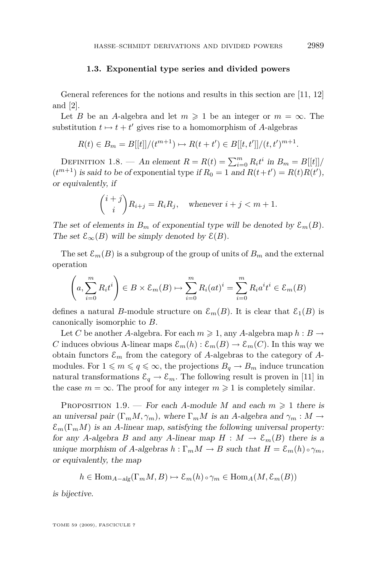#### **1.3. Exponential type series and divided powers**

<span id="page-11-0"></span>General references for the notions and results in this section are [\[11,](#page-35-0) [12\]](#page-35-0) and [\[2\]](#page-35-0).

Let *B* be an *A*-algebra and let  $m \geq 1$  be an integer or  $m = \infty$ . The substitution  $t \mapsto t + t'$  gives rise to a homomorphism of *A*-algebras

$$
R(t) \in B_m = B[[t]]/(t^{m+1}) \mapsto R(t+t') \in B[[t,t']]/(t,t')^{m+1})
$$

DEFINITION 1.8. — An element  $R = R(t) = \sum_{i=0}^{m} R_i t^i$  in  $B_m = B[[t]]/$  $(t^{m+1})$  is said to be of exponential type if  $R_0 = 1$  and  $R(t+t') = R(t)R(t')$ , or equivalently, if

$$
\binom{i+j}{i} R_{i+j} = R_i R_j, \quad \text{whenever } i+j < m+1.
$$

The set of elements in  $B_m$  of exponential type will be denoted by  $\mathcal{E}_m(B)$ . The set  $\mathcal{E}_{\infty}(B)$  will be simply denoted by  $\mathcal{E}(B)$ .

The set  $\mathcal{E}_m(B)$  is a subgroup of the group of units of  $B_m$  and the external operation

$$
\left(a, \sum_{i=0}^{m} R_i t^i\right) \in B \times \mathcal{E}_m(B) \mapsto \sum_{i=0}^{m} R_i (at)^i = \sum_{i=0}^{m} R_i a^i t^i \in \mathcal{E}_m(B)
$$

defines a natural *B*-module structure on  $\mathcal{E}_m(B)$ . It is clear that  $\mathcal{E}_1(B)$  is canonically isomorphic to *B*.

Let *C* be another *A*-algebra. For each  $m \ge 1$ , any *A*-algebra map  $h : B \to$ *C* induces obvious A-linear maps  $\mathcal{E}_m(h): \mathcal{E}_m(B) \to \mathcal{E}_m(C)$ . In this way we obtain functors  $\varepsilon_m$  from the category of *A*-algebras to the category of *A*modules. For  $1 \leq m \leq q \leq \infty$ , the projections  $B_q \to B_m$  induce truncation natural transformations  $\mathcal{E}_q \to \mathcal{E}_m$ . The following result is proven in [\[11\]](#page-35-0) in the case  $m = \infty$ . The proof for any integer  $m \geq 1$  is completely similar.

PROPOSITION 1.9. — For each *A*-module *M* and each  $m \geq 1$  there is an universal pair  $(\Gamma_m M, \gamma_m)$ , where  $\Gamma_m M$  is an *A*-algebra and  $\gamma_m : M \to$  $\mathcal{E}_m(\Gamma_m M)$  is an *A*-linear map, satisfying the following universal property: for any *A*-algebra *B* and any *A*-linear map  $H : M \to \mathcal{E}_m(B)$  there is a unique morphism of *A*-algebras  $h : \Gamma_m M \to B$  such that  $H = \mathcal{E}_m(h) \circ \gamma_m$ , or equivalently, the map

$$
h \in \text{Hom}_{A-alg}(\Gamma_m M, B) \mapsto \mathcal{E}_m(h) \circ \gamma_m \in \text{Hom}_A(M, \mathcal{E}_m(B))
$$

is bijective.

TOME 59 (2009), FASCICULE 7

*.*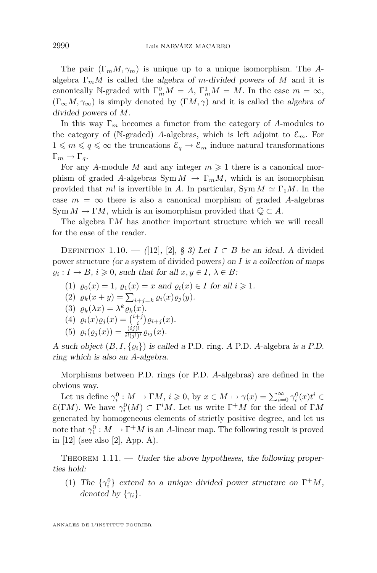<span id="page-12-0"></span>The pair (Γ*mM, γm*) is unique up to a unique isomorphism. The *A*algebra  $\Gamma_m M$  is called the algebra of *m*-divided powers of M and it is canonically N-graded with  $\Gamma_m^0 M = A$ ,  $\Gamma_m^1 M = M$ . In the case  $m = \infty$ ,  $(\Gamma_{\infty}M, \gamma_{\infty})$  is simply denoted by  $(\Gamma M, \gamma)$  and it is called the algebra of divided powers of *M*.

In this way Γ*<sup>m</sup>* becomes a functor from the category of *A*-modules to the category of (N-graded) *A*-algebras, which is left adjoint to  $\mathcal{E}_m$ . For  $1 \leq m \leq q \leq \infty$  the truncations  $\mathcal{E}_q \to \mathcal{E}_m$  induce natural transformations  $\Gamma_m \to \Gamma_q$ .

For any *A*-module *M* and any integer  $m \geq 1$  there is a canonical morphism of graded *A*-algebras  $Sym M \to \Gamma_m M$ , which is an isomorphism provided that *m*! is invertible in *A*. In particular,  $\text{Sym } M \simeq \Gamma_1 M$ . In the case  $m = \infty$  there is also a canonical morphism of graded *A*-algebras Sym  $M \to \Gamma M$ , which is an isomorphism provided that  $\mathbb{Q} \subset A$ .

The algebra Γ*M* has another important structure which we will recall for the ease of the reader.

DEFINITION 1.10. — ([\[12\]](#page-35-0), [\[2\]](#page-35-0), § 3) Let  $I \subset B$  be an ideal. A divided power structure (or a system of divided powers) on *I* is a collection of maps  $\varrho_i: I \to B, i \geqslant 0$ , such that for all  $x, y \in I, \lambda \in B$ :

- (1)  $\varrho_0(x) = 1$ ,  $\varrho_1(x) = x$  and  $\varrho_i(x) \in I$  for all  $i \geq 1$ .
- (2)  $\varrho_k(x+y) = \sum_{i+j=k} \varrho_i(x)\varrho_j(y).$
- (3)  $\varrho_k(\lambda x) = \lambda^k \varrho_k(x)$ .
- (4)  $\varrho_i(x)\varrho_j(x) = \binom{i+j}{i}\varrho_{i+j}(x).$
- (5)  $\varrho_i(\varrho_j(x)) = \frac{(ij)!}{i!(j!)^i} \varrho_{ij}(x).$

A such object  $(B, I, \{\varrho_i\})$  is called a P.D. ring. A P.D. A-algebra is a P.D. ring which is also an *A*-algebra.

Morphisms between P.D. rings (or P.D. *A*-algebras) are defined in the obvious way.

Let us define  $\gamma_i^0 : M \to \Gamma M$ ,  $i \geqslant 0$ , by  $x \in M \mapsto \gamma(x) = \sum_{i=0}^{\infty} \gamma_i^0(x) t^i \in$  $\mathcal{E}(\Gamma M)$ . We have  $\gamma_i^0(M) \subset \Gamma^i M$ . Let us write  $\Gamma^+ M$  for the ideal of Γ*M* generated by homogeneous elements of strictly positive degree, and let us note that  $\gamma_1^0: M \to \Gamma^+ M$  is an *A*-linear map. The following result is proved in [\[12\]](#page-35-0) (see also [\[2\]](#page-35-0), App. A).

THEOREM  $1.11.$  — Under the above hypotheses, the following properties hold:

(1) The  $\{\gamma_i^0\}$  extend to a unique divided power structure on  $\Gamma^+M$ , denoted by  $\{\gamma_i\}$ .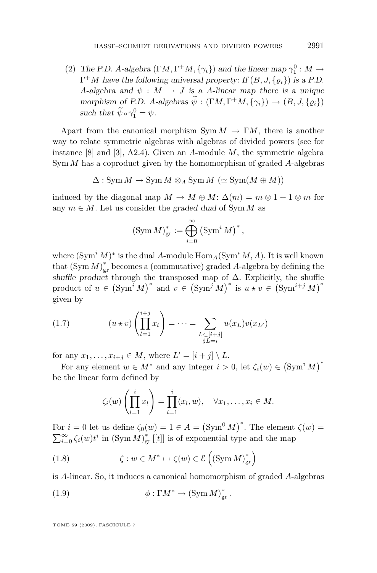<span id="page-13-0"></span>(2) The P.D. *A*-algebra  $(\Gamma M, \Gamma^+ M, \{\gamma_i\})$  and the linear map  $\gamma_1^0 : M \to$  $\Gamma^+M$  have the following universal property: If  $(B, J, \{\varrho_i\})$  is a P.D. *A*-algebra and  $\psi : M \to J$  is a *A*-linear map there is a unique morphism of P.D. *A*-algebras  $\psi$  :  $(\Gamma M, \Gamma^+ M, \{\gamma_i\}) \rightarrow (B, J, \{\varrho_i\})$ such that  $\psi \circ \gamma_1^0 = \psi$ .

Apart from the canonical morphism  $Sym M \to \Gamma M$ , there is another way to relate symmetric algebras with algebras of divided powers (see for instance [\[8\]](#page-35-0) and [\[3\]](#page-35-0), A2.4). Given an *A*-module *M*, the symmetric algebra Sym *M* has a coproduct given by the homomorphism of graded *A*-algebras

$$
\Delta: \operatorname{Sym} M \to \operatorname{Sym} M \otimes_A \operatorname{Sym} M \; (\simeq \operatorname{Sym}(M \oplus M))
$$

induced by the diagonal map  $M \to M \oplus M$ :  $\Delta(m) = m \otimes 1 + 1 \otimes m$  for any  $m \in M$ . Let us consider the graded dual of Sym *M* as

$$
(\operatorname{Sym} M)_{\text{gr}}^* := \bigoplus_{i=0}^{\infty} (\operatorname{Sym}^i M)^*,
$$

where  $(\text{Sym}^i M)^*$  is the dual *A*-module  $\text{Hom}_A(\text{Sym}^i M, A)$ . It is well known that  $(\text{Sym } M)_{\text{gr}}^*$  becomes a (commutative) graded *A*-algebra by defining the shuffle product through the transposed map of  $\Delta$ . Explicitly, the shuffle product of  $u \in (\text{Sym}^i M)^*$  and  $v \in (\text{Sym}^j M)^*$  is  $u * v \in (\text{Sym}^{i+j} M)^*$ given by

(1.7) 
$$
(u \star v) \left(\prod_{l=1}^{i+j} x_l\right) = \cdots = \sum_{\substack{L \subset [i+j] \\ \sharp L = i}} u(x_L) v(x_{L'})
$$

for any  $x_1, \ldots, x_{i+j} \in M$ , where  $L' = [i + j] \setminus L$ .

For any element  $w \in M^*$  and any integer  $i > 0$ , let  $\zeta_i(w) \in (\text{Sym}^i M)^*$ be the linear form defined by

$$
\zeta_i(w)\left(\prod_{l=1}^i x_l\right)=\prod_{l=1}^i\langle x_l,w\rangle,\quad \forall x_1,\ldots,x_i\in M.
$$

For  $i = 0$  let us define  $\zeta_0(w) = 1 \in A = (\text{Sym}^0 M)^*$ . The element  $\zeta(w) =$  $\sum_{i=0}^{\infty} \zeta_i(w) t^i$  in  $(\text{Sym } M)_{\text{gr}}^*$  [[*t*]] is of exponential type and the map

(1.8) 
$$
\zeta : w \in M^* \mapsto \zeta(w) \in \mathcal{E}\left(\left(\text{Sym } M\right)^*_{\text{gr}}\right)
$$

is *A*-linear. So, it induces a canonical homomorphism of graded *A*-algebras

(1.9) 
$$
\phi : \Gamma M^* \to (\text{Sym } M)_{\text{gr}}^*.
$$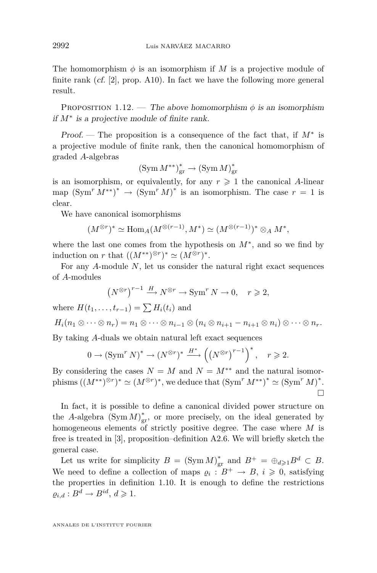<span id="page-14-0"></span>The homomorphism  $\phi$  is an isomorphism if M is a projective module of finite rank (cf. [\[2\]](#page-35-0), prop. A10). In fact we have the following more general result.

PROPOSITION 1.12. — The above homomorphism  $\phi$  is an isomorphism if *M<sup>∗</sup>* is a projective module of finite rank.

Proof. — The proposition is a consequence of the fact that, if *M<sup>∗</sup>* is a projective module of finite rank, then the canonical homomorphism of graded *A*-algebras

$$
(\operatorname{Sym} \operatorname{M}^{\ast\ast})_{\operatorname{gr}}^{\ast} \to (\operatorname{Sym} \operatorname{M})_{\operatorname{gr}}^{\ast}
$$

is an isomorphism, or equivalently, for any  $r \geq 1$  the canonical *A*-linear map  $(\text{Sym}^r M^{**})^* \to (\text{Sym}^r M)^*$  is an isomorphism. The case  $r = 1$  is clear.

We have canonical isomorphisms

$$
(M^{\otimes r})^* \simeq \text{Hom}_A(M^{\otimes (r-1)}, M^*) \simeq (M^{\otimes (r-1)})^* \otimes_A M^*,
$$

where the last one comes from the hypothesis on *M<sup>∗</sup>* , and so we find by induction on *r* that  $((M^{**})^{\otimes r})^* \simeq (M^{\otimes r})^*$ .

For any *A*-module *N*, let us consider the natural right exact sequences of *A*-modules

$$
\left(N^{\otimes r}\right)^{r-1} \xrightarrow{H} N^{\otimes r} \to \operatorname{Sym}^r N \to 0, \quad r \geqslant 2,
$$

where  $H(t_1, \ldots, t_{r-1}) = \sum H_i(t_i)$  and

$$
H_i(n_1\otimes\cdots\otimes n_r)=n_1\otimes\cdots\otimes n_{i-1}\otimes (n_i\otimes n_{i+1}-n_{i+1}\otimes n_i)\otimes\cdots\otimes n_r.
$$

By taking *A*-duals we obtain natural left exact sequences

$$
0 \to \left(\operatorname{Sym}^r N\right)^* \to \left(N^{\otimes r}\right)^* \xrightarrow{H^*} \left(\left(N^{\otimes r}\right)^{r-1}\right)^*, \quad r \geqslant 2.
$$

By considering the cases  $N = M$  and  $N = M^{**}$  and the natural isomor- $(\text{phisms } ((M^{**})^{\otimes r})^* \simeq (M^{\otimes r})^*$ , we deduce that  $(\text{Sym}^r M^{**})^* \simeq (\text{Sym}^r M)^*$ .  $\Box$ 

In fact, it is possible to define a canonical divided power structure on the *A*-algebra  $(Sym M)_{gr}^*$ , or more precisely, on the ideal generated by homogeneous elements of strictly positive degree. The case where *M* is free is treated in [\[3\]](#page-35-0), proposition–definition A2.6. We will briefly sketch the general case.

Let us write for simplicity  $B = (\text{Sym } M)_{\text{gr}}^*$  and  $B^+ = \bigoplus_{d \geq 1} B^d \subset B$ . We need to define a collection of maps  $\varrho_i : B^+ \to B$ ,  $i \geqslant 0$ , satisfying the properties in definition [1.10.](#page-12-0) It is enough to define the restrictions  $\varrho_{i,d}: B^d \to B^{id}, d \geqslant 1.$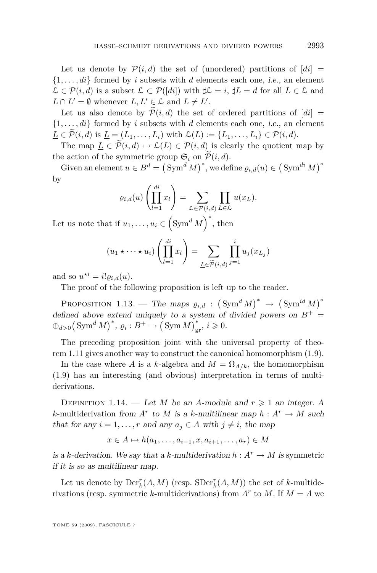<span id="page-15-0"></span>Let us denote by  $\mathcal{P}(i,d)$  the set of (unordered) partitions of  $\lfloor di \rfloor =$  ${1, \ldots, di}$  formed by *i* subsets with *d* elements each one, *i.e.*, an element  $\mathcal{L}$  ∈  $\mathcal{P}(i, d)$  is a subset  $\mathcal{L} \subset \mathcal{P}([di])$  with  $\sharp \mathcal{L} = i$ ,  $\sharp L = d$  for all  $L \in \mathcal{L}$  and  $L \cap L' = \emptyset$  whenever  $L, L' \in \mathcal{L}$  and  $L \neq L'$ .

Let us also denote by  $P(i,d)$  the set of ordered partitions of  $[di] =$  ${1, \ldots, di}$  formed by *i* subsets with *d* elements each one, *i.e.*, an element  $\underline{L} \in \widetilde{\mathcal{P}}(i,d)$  is  $\underline{L} = (L_1, \ldots, L_i)$  with  $\mathcal{L}(L) := \{L_1, \ldots, L_i\} \in \mathcal{P}(i,d)$ .

The map  $L \in \widetilde{\mathcal{P}}(i,d) \mapsto \mathcal{L}(L) \in \mathcal{P}(i,d)$  is clearly the quotient map by the action of the symmetric group  $\mathfrak{S}_i$  on  $\widetilde{\mathcal{P}}(i, d)$ .

Given an element  $u \in B^d = (\text{Sym}^d M)^*$ , we define  $\varrho_{i,d}(u) \in (\text{Sym}^{di} M)^*$ by *di*

$$
\varrho_{i,d}(u)\left(\prod_{l=1}^{di}x_l\right)=\sum_{\mathcal{L}\in\mathcal{P}(i,d)}\prod_{L\in\mathcal{L}}u(x_L).
$$

Let us note that if  $u_1, \ldots, u_i \in (\text{Sym}^d M)^*$ , then

$$
(u_1 \star \cdots \star u_i) \left( \prod_{l=1}^{di} x_l \right) = \sum_{\underline{L} \in \widetilde{\mathcal{P}}(i,d)} \prod_{j=1}^{i} u_j(x_{L_j})
$$

and so  $u^{\star i} = i! \varrho_{i,d}(u)$ .

The proof of the following proposition is left up to the reader.

PROPOSITION 1.13. — The maps  $\varrho_{i,d}$  :  $(\text{Sym}^d M)^* \rightarrow (\text{Sym}^{id} M)^*$ defined above extend uniquely to a system of divided powers on  $B^+$  =  $\bigoplus_{d>0} (\text{Sym}^d M)^*$ ,  $\varrho_i : B^+ \to (\text{Sym} M)_{\text{gr}}^*$ ,  $i \geqslant 0$ .

The preceding proposition joint with the universal property of theorem [1.11](#page-12-0) gives another way to construct the canonical homomorphism [\(1.9\)](#page-13-0).

In the case where *A* is a *k*-algebra and  $M = \Omega_{A/k}$ , the homomorphism [\(1.9\)](#page-13-0) has an interesting (and obvious) interpretation in terms of multiderivations.

DEFINITION 1.14. — Let *M* be an *A*-module and  $r \geq 1$  an integer. A *k*-multiderivation from  $A^r$  to  $M$  is a *k*-multilinear map  $h: A^r \to M$  such that for any  $i = 1, ..., r$  and any  $a_i \in A$  with  $j \neq i$ , the map

$$
x \in A \mapsto h(a_1, \dots, a_{i-1}, x, a_{i+1}, \dots, a_r) \in M
$$

is a *k*-derivation. We say that a *k*-multiderivation  $h: A^r \to M$  is symmetric if it is so as multilinear map.

Let us denote by  $\mathrm{Der}_{k}^{r}(A, M)$  (resp.  $\mathrm{SDer}_{k}^{r}(A, M)$ ) the set of *k*-multiderivations (resp. symmetric *k*-multiderivations) from  $A^r$  to  $M$ . If  $M = A$  we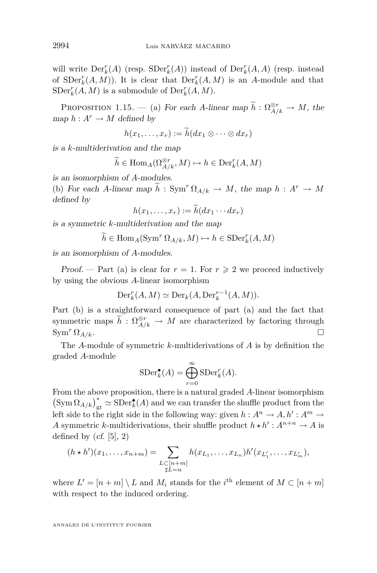<span id="page-16-0"></span>will write  $\text{Der}_{k}^{r}(A)$  (resp.  $\text{SDer}_{k}^{r}(A)$ ) instead of  $\text{Der}_{k}^{r}(A, A)$  (resp. instead of  $SDer<sub>k</sub><sup>r</sup>(A, M)$ ). It is clear that  $Der<sub>k</sub><sup>r</sup>(A, M)$  is an *A*-module and that  $SDer<sub>k</sub><sup>r</sup>(A, M)$  is a submodule of  $Der<sub>k</sub><sup>r</sup>(A, M)$ .

PROPOSITION 1.15. — (a) For each *A*-linear map  $\tilde{h}: \Omega_{A/k}^{\otimes r} \to M$ , the map  $h: A^r \to M$  defined by

$$
h(x_1,\ldots,x_r):=\tilde{h}(dx_1\otimes\cdots\otimes dx_r)
$$

is a *k*-multiderivation and the map

$$
\widetilde{h} \in \text{Hom}_{A}(\Omega_{A/k}^{\otimes r}, M) \mapsto h \in \text{Der}_{k}^{r}(A, M)
$$

is an isomorphism of *A*-modules.

(b) For each *A*-linear map  $\widetilde{h}$  : Sym<sup>r</sup>  $\Omega_{A/k} \to M$ , the map  $h : A^r \to M$ defined by

$$
h(x_1,\ldots,x_r):=\widetilde{h}(dx_1\cdots dx_r)
$$

is a symmetric *k*-multiderivation and the map

$$
\widetilde{h} \in \text{Hom}_A(\text{Sym}^r \Omega_{A/k}, M) \mapsto h \in \text{SDer}_k^r(A, M)
$$

is an isomorphism of *A*-modules.

Proof. — Part (a) is clear for  $r = 1$ . For  $r \geq 2$  we proceed inductively by using the obvious *A*-linear isomorphism

$$
\operatorname{Der}_{k}^{r}(A, M) \simeq \operatorname{Der}_{k}(A, \operatorname{Der}_{k}^{r-1}(A, M)).
$$

Part (b) is a straightforward consequence of part (a) and the fact that symmetric maps  $\tilde{h}: \Omega_{A/k}^{\otimes r} \to M$  are characterized by factoring through  $\sum_{k=1}^n \Omega_{A/k}$ .

The *A*-module of symmetric *k*-multiderivations of *A* is by definition the graded *A*-module

$$
\operatorname{SDer}_k^{\bullet}(A) = \bigoplus_{r=0}^{\infty} \operatorname{SDer}_k^r(A).
$$

From the above proposition, there is a natural graded *A*-linear isomorphism  $(\text{Sym }\Omega_{A/k})_{\text{gr}}^* \simeq \text{SDer}_{k}(A)$  and we can transfer the shuffle product from the left side to the right side in the following way: given  $h: A^n \to A, h': A^m \to A$ A symmetric *k*-multiderivations, their shuffle product  $h \star h' : A^{n+n} \to A$  is defined by  $(cf. [5], 2)$  $(cf. [5], 2)$  $(cf. [5], 2)$ 

$$
(h * h')(x_1, \ldots, x_{n+m}) = \sum_{\substack{L \subset [n+m] \\ \sharp L = n}} h(x_{L_1}, \ldots, x_{L_n}) h'(x_{L'_1}, \ldots, x_{L'_m}),
$$

where  $L' = [n + m] \setminus L$  and  $M_i$  stands for the *i*<sup>th</sup> element of  $M \subset [n + m]$ with respect to the induced ordering.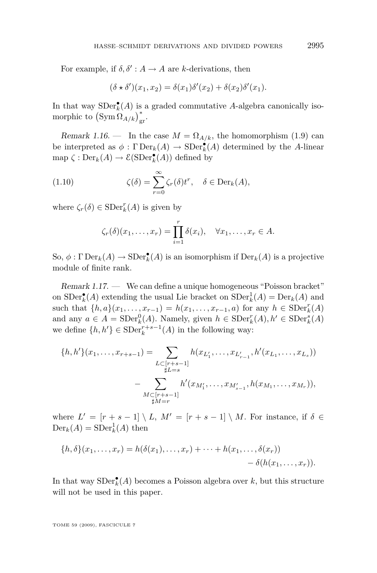<span id="page-17-0"></span>For example, if  $\delta, \delta' : A \to A$  are *k*-derivations, then

$$
(\delta \star \delta')(x_1, x_2) = \delta(x_1)\delta'(x_2) + \delta(x_2)\delta'(x_1).
$$

In that way  $SDer_{k}^{\bullet}(A)$  is a graded commutative *A*-algebra canonically isomorphic to  $(\text{Sym} \, \Omega_{A/k})^*_{\text{gr}}.$ 

Remark 1.16. — In the case  $M = \Omega_{A/k}$ , the homomorphism [\(1.9\)](#page-13-0) can be interpreted as  $\phi : \Gamma \text{Der}_k(A) \to \text{SDer}_k^{\bullet}(A)$  determined by the *A*-linear map  $\zeta : \mathrm{Der}_k(A) \to \mathcal{E}(\mathrm{SDer}_k^{\bullet}(A))$  defined by

(1.10) 
$$
\zeta(\delta) = \sum_{r=0}^{\infty} \zeta_r(\delta) t^r, \quad \delta \in \text{Der}_k(A),
$$

where  $\zeta_r(\delta) \in \text{SDer}_k^r(A)$  is given by

$$
\zeta_r(\delta)(x_1,\ldots,x_r)=\prod_{i=1}^r\delta(x_i),\quad \forall x_1,\ldots,x_r\in A.
$$

So,  $\phi : \Gamma \operatorname{Der}_k(A) \to \operatorname{SDer}_k^{\bullet}(A)$  is an isomorphism if  $\operatorname{Der}_k(A)$  is a projective module of finite rank.

Remark 1.17. — We can define a unique homogeneous "Poisson bracket" on  $SDer_{k}^{\bullet}(A)$  extending the usual Lie bracket on  $SDer_{k}^{1}(A) = Der_{k}(A)$  and such that  $\{h, a\}(x_1, \ldots, x_{r-1}) = h(x_1, \ldots, x_{r-1}, a)$  for any  $h \in SDer_k^r(A)$ and any  $a \in A = \text{SDer}_{k}^{0}(A)$ . Namely, given  $h \in \text{SDer}_{k}^{r}(A), h' \in \text{SDer}_{k}^{s}(A)$ we define  $\{h, h'\} \in \text{SDer}_{k}^{r+s-1}(A)$  in the following way:

$$
\{h, h'\}(x_1, \ldots, x_{r+s-1}) = \sum_{\substack{L \subset [r+s-1] \\ \sharp L=s}} h(x_{L'_1}, \ldots, x_{L'_{r-1}}, h'(x_{L_1}, \ldots, x_{L_s}))
$$

$$
- \sum_{\substack{M \subset [r+s-1] \\ \sharp M=r}} h'(x_{M'_1}, \ldots, x_{M'_{s-1}}, h(x_{M_1}, \ldots, x_{M_r})),
$$

where  $L' = [r + s - 1] \setminus L$ ,  $M' = [r + s - 1] \setminus M$ . For instance, if  $\delta \in$  $Der_k(A) = SDer_k^1(A)$  then

$$
\{h,\delta\}(x_1,\ldots,x_r) = h(\delta(x_1),\ldots,x_r) + \cdots + h(x_1,\ldots,\delta(x_r))
$$
  
-  $\delta(h(x_1,\ldots,x_r)).$ 

In that way  $SDer_{k}^{\bullet}(A)$  becomes a Poisson algebra over *k*, but this structure will not be used in this paper.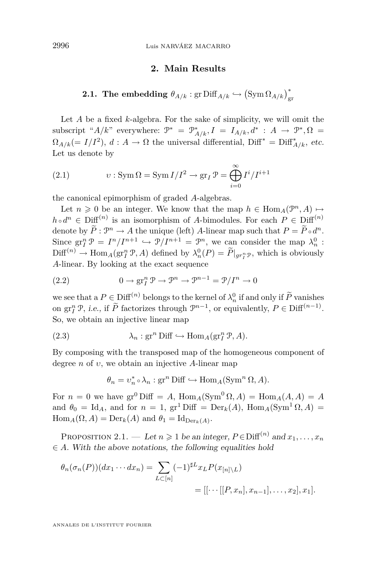#### **2. Main Results**

<span id="page-18-0"></span>**2.1.** The embedding  $\theta_{A/k}$  : gr  $\text{Diff}_{A/k} \hookrightarrow \left(\text{Sym}\,\Omega_{A/k}\right)_{\text{gr}}^*$ 

Let *A* be a fixed *k*-algebra. For the sake of simplicity, we will omit the  $\text{subscript}^* \, A/k$ " everywhere:  $\mathcal{P}^* = \mathcal{P}^*_{A/k}, I = I_{A/k}, d^* : A \to \mathcal{P}^*, \Omega =$  $\Omega_{A/k} (= I/I^2)$ ,  $d: A \to \Omega$  the universal differential, Diff<sup>\*</sup> = Diff<sup>\*</sup><sub> $A/k$ </sub>, etc. Let us denote by

(2.1) 
$$
v: \operatorname{Sym} \Omega = \operatorname{Sym} I/I^2 \to \operatorname{gr}_I \mathcal{P} = \bigoplus_{i=0}^{\infty} I^i/I^{i+1}
$$

the canonical epimorphism of graded *A*-algebras.

Let  $n \geq 0$  be an integer. We know that the map  $h \in \text{Hom}_A(\mathcal{P}^n, A) \mapsto$  $h \circ d^n \in \text{Diff}^{(n)}$  is an isomorphism of *A*-bimodules. For each  $P \in \text{Diff}^{(n)}$ denote by  $\overline{P}$ :  $\mathcal{P}^n \to A$  the unique (left) *A*-linear map such that  $P = \overline{P} \circ d^n$ . Since  $\operatorname{gr}^n_I \mathcal{P} = I^n/I^{n+1} \hookrightarrow \mathcal{P}/I^{n+1} = \mathcal{P}^n$ , we can consider the map  $\lambda_n^0$ :  $\text{Diff}^{(n)} \to \text{Hom}_A(\text{gr}^n_I \mathcal{P}, A)$  defined by  $\lambda_n^0(P) = \tilde{P}|_{gr^n_I \mathcal{P}}$ , which is obviously *A*-linear. By looking at the exact sequence

(2.2) 
$$
0 \to \operatorname{gr}^n_I \mathcal{P} \to \mathcal{P}^n \to \mathcal{P}^{n-1} = \mathcal{P}/I^n \to 0
$$

we see that a  $P \in \text{Diff}^{(n)}$  belongs to the kernel of  $\lambda_n^0$  if and only if  $\widetilde{P}$  vanishes on  $\operatorname{gr}^n_I \mathcal{P}$ , *i.e.*, if  $\widetilde{P}$  factorizes through  $\mathcal{P}^{n-1}$ , or equivalently,  $P \in \text{Diff}^{(n-1)}$ . So, we obtain an injective linear map

(2.3) 
$$
\lambda_n : \operatorname{gr}^n \operatorname{Diff} \hookrightarrow \operatorname{Hom}_A(\operatorname{gr}^n_T \mathcal{P}, A).
$$

By composing with the transposed map of the homogeneous component of degree *n* of *υ*, we obtain an injective *A*-linear map

$$
\theta_n = v_n^* \circ \lambda_n : \operatorname{gr}^n \text{Diff} \hookrightarrow \operatorname{Hom}_A(\operatorname{Sym}^n \Omega, A).
$$

For  $n = 0$  we have  $\text{gr}^0$  Diff = A,  $\text{Hom}_A(\text{Sym}^0 \Omega, A) = \text{Hom}_A(A, A) = A$ and  $\theta_0 = \text{Id}_A$ , and for  $n = 1$ , gr<sup>1</sup> Diff =  $\text{Der}_k(A)$ ,  $\text{Hom}_A(\text{Sym}^1 \Omega, A)$  =  $\text{Hom}_A(\Omega, A) = \text{Der}_k(A)$  and  $\theta_1 = \text{Id}_{\text{Der}_k(A)}$ .

PROPOSITION 2.1. — Let  $n \geq 1$  be an integer,  $P \in \text{Diff}^{(n)}$  and  $x_1, \ldots, x_n$ *∈ A*. With the above notations, the following equalities hold

$$
\theta_n(\sigma_n(P))(dx_1\cdots dx_n) = \sum_{L\subset [n]} (-1)^{\sharp L} x_L P(x_{[n]\setminus L})
$$
  
= [[\cdots [[P, x\_n], x\_{n-1}], \dots, x\_2], x\_1].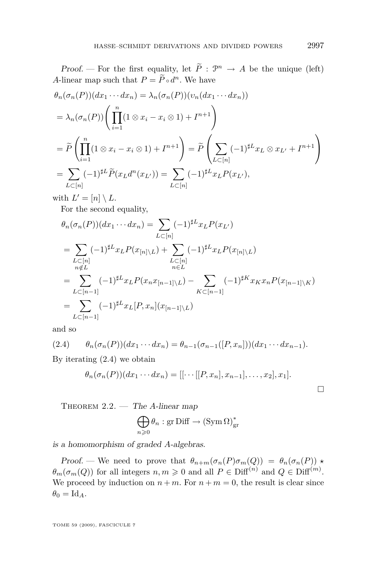<span id="page-19-0"></span>Proof. — For the first equality, let  $\tilde{P}: \mathcal{P}^n \to A$  be the unique (left) *A*-linear map such that  $P = P \circ d^n$ . We have

$$
\theta_n(\sigma_n(P))(dx_1\cdots dx_n) = \lambda_n(\sigma_n(P))(v_n(dx_1\cdots dx_n))
$$
  
\n
$$
= \lambda_n(\sigma_n(P)) \left( \prod_{i=1}^n (1 \otimes x_i - x_i \otimes 1) + I^{n+1} \right)
$$
  
\n
$$
= \widetilde{P} \left( \prod_{i=1}^n (1 \otimes x_i - x_i \otimes 1) + I^{n+1} \right) = \widetilde{P} \left( \sum_{L \subset [n]} (-1)^{\sharp L} x_L \otimes x_{L'} + I^{n+1} \right)
$$
  
\n
$$
= \sum_{L \subset [n]} (-1)^{\sharp L} \widetilde{P}(x_L d^n(x_{L'})) = \sum_{L \subset [n]} (-1)^{\sharp L} x_L P(x_{L'}),
$$

with  $L' = [n] \setminus L$ .

For the second equality,

$$
\theta_n(\sigma_n(P))(dx_1 \cdots dx_n) = \sum_{L \subset [n]} (-1)^{\sharp L} x_L P(x_{L'})
$$
\n
$$
= \sum_{\substack{L \subset [n] \\ n \notin L}} (-1)^{\sharp L} x_L P(x_{[n] \setminus L}) + \sum_{\substack{L \subset [n] \\ n \in L}} (-1)^{\sharp L} x_L P(x_{[n] \setminus L})
$$
\n
$$
= \sum_{L \subset [n-1]} (-1)^{\sharp L} x_L P(x_n x_{[n-1] \setminus L}) - \sum_{K \subset [n-1]} (-1)^{\sharp K} x_K x_n P(x_{[n-1] \setminus K})
$$
\n
$$
= \sum_{L \subset [n-1]} (-1)^{\sharp L} x_L [P, x_n] (x_{[n-1] \setminus L})
$$

and so

(2.4) 
$$
\theta_n(\sigma_n(P))(dx_1\cdots dx_n) = \theta_{n-1}(\sigma_{n-1}([P, x_n]))(dx_1\cdots dx_{n-1}).
$$

By iterating (2.4) we obtain

$$
\theta_n(\sigma_n(P))(dx_1\cdots dx_n) = [[\cdots [[P,x_n],x_{n-1}],\ldots,x_2],x_1].
$$

Theorem 2.2. — The *A*-linear map

$$
\bigoplus_{n\geqslant 0}\theta_n:\text{gr Diff}\to(\text{Sym }\Omega)_{\text{gr}}^*
$$

is a homomorphism of graded *A*-algebras.

Proof. — We need to prove that  $\theta_{n+m}(\sigma_n(P)\sigma_m(Q)) = \theta_n(\sigma_n(P))$  *\**  $\theta_m(\sigma_m(Q))$  for all integers  $n, m \geq 0$  and all  $P \in \text{Diff}^{(n)}$  and  $Q \in \text{Diff}^{(m)}$ . We proceed by induction on  $n + m$ . For  $n + m = 0$ , the result is clear since  $\theta_0 = \mathrm{Id}_A.$ 

TOME 59 (2009), FASCICULE 7

 $\Box$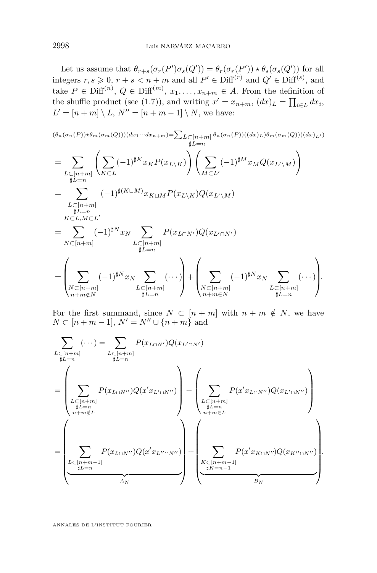Let us assume that  $\theta_{r+s}(\sigma_r(P')\sigma_s(Q')) = \theta_r(\sigma_r(P')) \star \theta_s(\sigma_s(Q'))$  for all integers  $r, s \ge 0$ ,  $r + s < n + m$  and all  $P' \in \text{Diff}^{(r)}$  and  $Q' \in \text{Diff}^{(s)}$ , and take  $P \in \text{Diff}^{(n)}$ ,  $Q \in \text{Diff}^{(m)}$ ,  $x_1, \ldots, x_{n+m} \in A$ . From the definition of the shuffle product (see [\(1.7\)](#page-13-0)), and writing  $x' = x_{n+m}$ ,  $(dx)_L = \prod_{i \in L} dx_i$ ,  $L' = [n + m] \setminus L$ ,  $N'' = [n + m - 1] \setminus N$ , we have:

$$
(\theta_n(\sigma_n(P)) \star \theta_m(\sigma_m(Q)))(dx_1 \cdots dx_{n+m}) = \sum_{L \subset [n+m]} \theta_n(\sigma_n(P))((dx)_L) \theta_m(\sigma_m(Q))((dx)_L)
$$
  
\n
$$
= \sum_{\substack{L \subset [n+m] \\ \sharp L=n}} \left( \sum_{K \subset L} (-1)^{\sharp K} x_K P(x_{L \setminus K}) \right) \left( \sum_{M \subset L'} (-1)^{\sharp M} x_M Q(x_{L' \setminus M}) \right)
$$
  
\n
$$
= \sum_{\substack{L \subset [n+m] \\ \sharp L=n \\ \sharp L=n}} (-1)^{\sharp (K \sqcup M)} x_{K \sqcup M} P(x_{L \setminus K}) Q(x_{L' \setminus M})
$$
  
\n
$$
= \sum_{N \subset [n+m]} (-1)^{\sharp N} x_N \sum_{\substack{L \subset [n+m] \\ \sharp L=n}} P(x_{L \cap N'}) Q(x_{L' \cap N'})
$$
  
\n
$$
= \left( \sum_{\substack{N \subset [n+m] \\ n+m \notin N}} (-1)^{\sharp N} x_N \sum_{\substack{L \subset [n+m] \\ \sharp L=n}} (-1)^{\sharp N} x_N \sum_{\substack{L \subset [n+m] \\ \sharp L=n}} (-1)^{\sharp N} x_N \sum_{\substack{L \subset [n+m] \\ n+m \in N}} (-1)^{\sharp N} x_N \sum_{\substack{L \subset [n+m] \\ n \notin L=n}} (-1)^{\sharp N} x_N \prod_{\substack{L \subset [n+m] \\ \sharp L=n}} (-1)^{\sharp N} x_N \prod_{\substack{L \subset [n+m] \\ \sharp L=n}} (-1)^{\sharp N} x_N \prod_{\substack{L \subset [n+m] \\ \sharp L=n}} (-1)^{\sharp N} x_N \prod_{\substack{L \subset [n+m] \\ \sharp L=n}} (-1)^{\sharp N} x_N \prod_{\substack{L \subset [n+m] \\ \sharp L=n}} (-1)^{\sharp N} x_N \prod_{\substack{L \subset [n+m] \\ \sharp L=n}} (-1)^{\sharp N} x_N \prod_{\substack{L \subset [n+m] \\ \sharp L=n}} (-1)^{\sharp N} x_N \prod_{\substack{L \subset [n+m] \\ \sharp L=n}} (-1)^{\sharp N} x_N \prod_{\substack{L \subset [n+m] \\ \sharp L=n}} (-1)^{\sharp N} x_N \prod_{\substack{L \subset [n+m] \\ \sharp L=n}} (-1)^{\sharp
$$

For the first summand, since  $N \subset [n+m]$  with  $n+m \notin N$ , we have  $N \subset [n + m - 1], N' = N'' \cup \{n + m\}$  and

$$
\sum_{L \subset [n+m]} (\cdots) = \sum_{L \subset [n+m]} P(x_{L \cap N'}) Q(x_{L' \cap N'})
$$
\n
$$
= \left( \sum_{\substack{L \subset [n+m] \\ \sharp L = n}} P(x_{L \cap N''}) Q(x' x_{L' \cap N''}) \right) + \left( \sum_{\substack{L \subset [n+m] \\ \sharp L = n}} P(x' x_{L \cap N''}) Q(x_{L' \cap N''}) \right)
$$
\n
$$
= \left( \sum_{\substack{L \subset [n+m-1] \\ \sharp L = n}} P(x_{L \cap N''}) Q(x' x_{L'' \cap N''}) \right) + \left( \sum_{\substack{L \subset [n+m-1] \\ \sharp L = n}} P(x' x_{L \cap N''}) Q(x_{K'' \cap N''}) \right)
$$
\n
$$
+ \left( \sum_{\substack{K \subset [n+m-1] \\ \sharp K = n-1}} P(x' x_{K \cap N''}) Q(x_{K'' \cap N''}) \right).
$$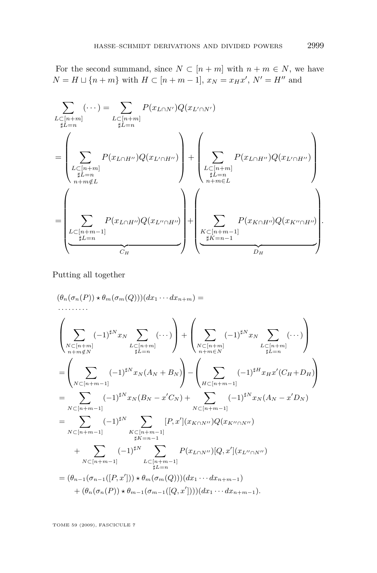For the second summand, since  $N \subset [n+m]$  with  $n+m \in N$ , we have  $N = H \sqcup \{n + m\}$  with  $H \subset [n + m - 1], x_N = x_H x', N' = H''$  and

$$
\sum_{\substack{L \subset [n+m] \\ \sharp L=n}} (\cdots) = \sum_{\substack{L \subset [n+m] \\ \sharp L=n}} P(x_{L \cap H^{\prime \prime}}) Q(x_{L^{\prime} \cap H^{\prime \prime}}) + \left(\sum_{\substack{L \subset [n+m] \\ \sharp L=n \\ \sharp L=n}} P(x_{L \cap H^{\prime \prime}}) Q(x_{L^{\prime} \cap H^{\prime \prime}})\right) + \left(\sum_{\substack{L \subset [n+m] \\ \sharp L=n \\ \sharp L=n}} P(x_{L \cap H^{\prime \prime}}) Q(x_{L^{\prime \prime} \cap H^{\prime \prime}})\right) + \left(\sum_{\substack{L \subset [n+m] \\ \sharp L=n \\ \sharp L=n-1}} P(x_{L \cap H^{\prime \prime}}) Q(x_{L^{\prime \prime} \cap H^{\prime \prime}})\right) + \left(\sum_{\substack{L \subset [n+m-1] \\ \sharp L=n-1}} P(x_{K \cap H^{\prime \prime}}) Q(x_{K^{\prime \prime} \cap H^{\prime \prime}})\right).
$$

Putting all together

$$
(\theta_n(\sigma_n(P)) * \theta_m(\sigma_m(Q)))(dx_1 \cdots dx_{n+m}) =
$$
  
\n
$$
\left(\sum_{\substack{N \subset [n+m] \\ n+m \notin N}} (-1)^{\sharp N} x_N \sum_{\substack{L \subset [n+m] \\ \sharp L=n}} (\cdots) \right) + \left(\sum_{\substack{N \subset [n+m] \\ n+m \in N}} (-1)^{\sharp N} x_N \sum_{\substack{L \subset [n+m] \\ \sharp L=n}} (\cdots) \right)
$$
  
\n
$$
= \left(\sum_{\substack{N \subset [n+m-1] \\ N \subset [n+m-1]}} (-1)^{\sharp N} x_N(A_N + B_N) \right) - \left(\sum_{\substack{H \subset [n+m-1] \\ \sharp L=n}} (-1)^{\sharp H} x_H x'(C_H + D_H) \right)
$$
  
\n
$$
= \sum_{\substack{N \subset [n+m-1] \\ N \subset [n+m-1]}} (-1)^{\sharp N} x_N(B_N - x'C_N) + \sum_{\substack{N \subset [n+m-1] \\ \sharp K=n-1}} (-1)^{\sharp N} x_N(A_N - x'D_N)
$$
  
\n
$$
+ \sum_{\substack{N \subset [n+m-1] \\ \sharp K=n-1}} (-1)^{\sharp N} \sum_{\substack{L \subset [n+m-1] \\ \sharp L=n}} P(x_{L \cap N''})[Q, x'](x_{L'' \cap N''})
$$
  
\n
$$
= (\theta_{n-1}(\sigma_{n-1}([P, x'])) * \theta_m(\sigma_m(Q)))(dx_1 \cdots dx_{n+m-1}) + (\theta_n(\sigma_n(P)) * \theta_{m-1}(\sigma_{m-1}([Q, x')))(dx_1 \cdots dx_{n+m-1}).
$$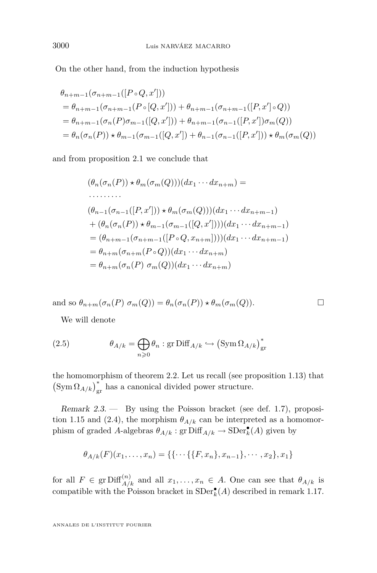On the other hand, from the induction hypothesis

$$
\theta_{n+m-1}(\sigma_{n+m-1}([P \circ Q, x']) )
$$
\n
$$
= \theta_{n+m-1}(\sigma_{n+m-1}(P \circ [Q, x']) ) + \theta_{n+m-1}(\sigma_{n+m-1}([P, x'] \circ Q))
$$
\n
$$
= \theta_{n+m-1}(\sigma_n(P)\sigma_{m-1}([Q, x']) ) + \theta_{n+m-1}(\sigma_{n-1}([P, x'])\sigma_m(Q))
$$
\n
$$
= \theta_n(\sigma_n(P)) \star \theta_{m-1}(\sigma_{m-1}([Q, x']) + \theta_{n-1}(\sigma_{n-1}([P, x']) \star \theta_m(\sigma_m(Q))
$$

and from proposition [2.1](#page-18-0) we conclude that

$$
(\theta_n(\sigma_n(P)) \star \theta_m(\sigma_m(Q)))(dx_1 \cdots dx_{n+m}) =
$$
  
\n
$$
(\theta_{n-1}(\sigma_{n-1}([P, x'])) \star \theta_m(\sigma_m(Q)))(dx_1 \cdots dx_{n+m-1})
$$
  
\n
$$
+(\theta_n(\sigma_n(P)) \star \theta_{m-1}(\sigma_{m-1}([Q, x')))(dx_1 \cdots dx_{n+m-1})
$$
  
\n
$$
= (\theta_{n+m-1}(\sigma_{n+m-1}([P \circ Q, x_{n+m}))))(dx_1 \cdots dx_{n+m-1})
$$
  
\n
$$
= \theta_{n+m}(\sigma_{n+m}(P \circ Q))(dx_1 \cdots dx_{n+m})
$$
  
\n
$$
= \theta_{n+m}(\sigma_n(P) \sigma_m(Q))(dx_1 \cdots dx_{n+m})
$$

and so  $\theta_{n+m}(\sigma_n(P) \sigma_m(Q)) = \theta_n(\sigma_n(P)) * \theta_m(\sigma_m(Q)).$ 

We will denote

(2.5) 
$$
\theta_{A/k} = \bigoplus_{n \geq 0} \theta_n : \text{gr Diff}_{A/k} \hookrightarrow (\text{Sym } \Omega_{A/k})^*_{\text{gr}}
$$

the homomorphism of theorem [2.2.](#page-19-0) Let us recall (see proposition [1.13\)](#page-15-0) that  $\left(\text{Sym}\,\Omega_{A/k}\right)^{*}_{\text{gr}}$  has a canonical divided power structure.

Remark 2.3. — By using the Poisson bracket (see def. [1.7\)](#page-10-0), proposi-tion [1.15](#page-16-0) and [\(2.4\)](#page-19-0), the morphism  $\theta_{A/k}$  can be interpreted as a homomorphism of graded *A*-algebras  $\theta_{A/k}$ : gr $\text{Diff}_{A/k} \to \text{SDer}_{k}^{\bullet}(A)$  given by

$$
\theta_{A/k}(F)(x_1,\ldots,x_n) = \{\{\cdots\{\{F,x_n\},x_{n-1}\},\cdots,x_2\},x_1\}
$$

for all  $F \in \text{gr Diff}_{A/k}^{(n)}$  and all  $x_1, \ldots, x_n \in A$ . One can see that  $\theta_{A/k}$  is compatible with the Poisson bracket in  $SDer^{\bullet}_{k}(A)$  described in remark [1.17.](#page-17-0)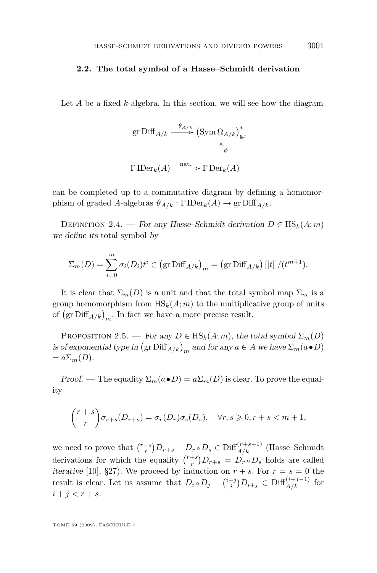#### **2.2. The total symbol of a Hasse–Schmidt derivation**

Let *A* be a fixed *k*-algebra. In this section, we will see how the diagram

gr Diff<sub>A/k</sub> 
$$
\xrightarrow{\theta_{A/k}}
$$
 (Sym  $\Omega_{A/k}$ )<sup>\*</sup><sub>gr</sub>  
 $\uparrow \phi$   
 $\Gamma \operatorname{IDer}_k(A) \xrightarrow{\text{nat.}} \Gamma \operatorname{Der}_k(A)$ 

can be completed up to a commutative diagram by defining a homomorphism of graded *A*-algebras  $\vartheta_{A/k} : \Gamma \text{IDer}_k(A) \to \text{gr Diff}_{A/k}$ .

DEFINITION 2.4. — For any Hasse–Schmidt derivation  $D \in HS_k(A; m)$ we define its total symbol by

$$
\Sigma_m(D) = \sum_{i=0}^m \sigma_i(D_i)t^i \in (\text{gr Diff}_{A/k})_m = (\text{gr Diff}_{A/k}) [[t]]/(t^{m+1}).
$$

It is clear that  $\Sigma_m(D)$  is a unit and that the total symbol map  $\Sigma_m$  is a group homomorphism from  $\text{HS}_k(A; m)$  to the multiplicative group of units of  $(\text{gr Diff}_{A/k})_m$ . In fact we have a more precise result.

PROPOSITION 2.5. — For any  $D \in \text{HS}_k(A; m)$ , the total symbol  $\Sigma_m(D)$ is of exponential type in  $(\text{gr Diff}_{A/k})_m$  and for any  $a \in A$  we have  $\Sigma_m(a \bullet D)$  $= a\Sigma_m(D).$ 

Proof. — The equality  $\Sigma_m(a \bullet D) = a \Sigma_m(D)$  is clear. To prove the equality

$$
\binom{r+s}{r} \sigma_{r+s}(D_{r+s}) = \sigma_r(D_r)\sigma_s(D_s), \quad \forall r, s \geqslant 0, r+s < m+1,
$$

we need to prove that  $\binom{r+s}{r}D_{r+s}-D_r \circ D_s \in \text{Diff}_{A/k}^{(r+s-1)}$  (Hasse–Schmidt derivations for which the equality  $\binom{r+s}{r}D_{r+s} = D_r \circ D_s$  holds are called iterative [\[10\]](#page-35-0), §27). We proceed by induction on  $r + s$ . For  $r = s = 0$  the result is clear. Let us assume that  $D_i \circ D_j - \binom{i+j}{i} D_{i+j} \in \text{Diff}_{A/k}^{(i+j-1)}$  for  $i + j < r + s$ .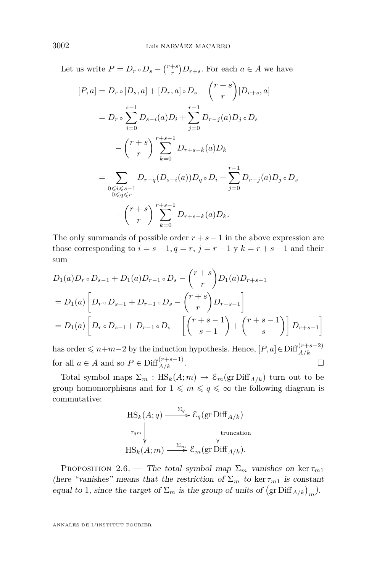<span id="page-24-0"></span>Let us write  $P = D_r \circ D_s - {r+s \choose r} D_{r+s}$ . For each  $a \in A$  we have

$$
[P, a] = D_r \circ [D_s, a] + [D_r, a] \circ D_s - {r+s \choose r} [D_{r+s}, a]
$$
  
\n
$$
= D_r \circ \sum_{i=0}^{s-1} D_{s-i}(a) D_i + \sum_{j=0}^{r-1} D_{r-j}(a) D_j \circ D_s
$$
  
\n
$$
- {r+s \choose r} \sum_{k=0}^{r+s-1} D_{r+s-k}(a) D_k
$$
  
\n
$$
= \sum_{\substack{0 \le i \le s-1 \\ 0 \le q \le r}} D_{r-q}(D_{s-i}(a)) D_q \circ D_i + \sum_{j=0}^{r-1} D_{r-j}(a) D_j \circ D_s
$$
  
\n
$$
- {r+s \choose r} \sum_{k=0}^{r+s-1} D_{r+s-k}(a) D_k.
$$

The only summands of possible order  $r + s - 1$  in the above expression are those corresponding to  $i = s - 1, q = r, j = r - 1$  y  $k = r + s - 1$  and their sum

$$
D_1(a)D_r \circ D_{s-1} + D_1(a)D_{r-1} \circ D_s - {r+s \choose r} D_1(a)D_{r+s-1}
$$
  
=  $D_1(a) \left[ D_r \circ D_{s-1} + D_{r-1} \circ D_s - {r+s \choose r} D_{r+s-1} \right]$   
=  $D_1(a) \left[ D_r \circ D_{s-1} + D_{r-1} \circ D_s - \left[ {r+s-1 \choose s-1} + {r+s-1 \choose s} \right] D_{r+s-1} \right]$ 

 $\text{has order} ≤ n+m-2 \text{ by the induction hypothesis. Hence, } [P, a] ∈ \text{Diff}^{(r+s-2)}_{A/k}$ for all  $a \in A$  and so  $P \in \text{Diff}_{A/k}^{(r+s-1)}$ .

Total symbol maps  $\Sigma_m$ :  $\text{HS}_k(A; m) \to \mathcal{E}_m(\text{gr Diff}_{A/k})$  turn out to be group homomorphisms and for  $1 \leq m \leq q \leq \infty$  the following diagram is commutative:

$$
\mathrm{HS}_k(A; q) \xrightarrow{\Sigma_q} \mathcal{E}_q(\mathrm{gr}\, \mathrm{Diff}_{A/k})
$$
\n
$$
\uparrow_{q_m} \qquad \qquad \downarrow_{\text{truncation}}
$$
\n
$$
\mathrm{HS}_k(A; m) \xrightarrow{\Sigma_m} \mathcal{E}_m(\mathrm{gr}\, \mathrm{Diff}_{A/k}).
$$

PROPOSITION 2.6. — The total symbol map  $\Sigma_m$  vanishes on ker  $\tau_{m1}$ (here "vanishes" means that the restriction of  $\Sigma_m$  to ker  $\tau_{m1}$  is constant equal to 1, since the target of  $\Sigma_m$  is the group of units of  $(\text{gr Diff}_{A/k})_m$ .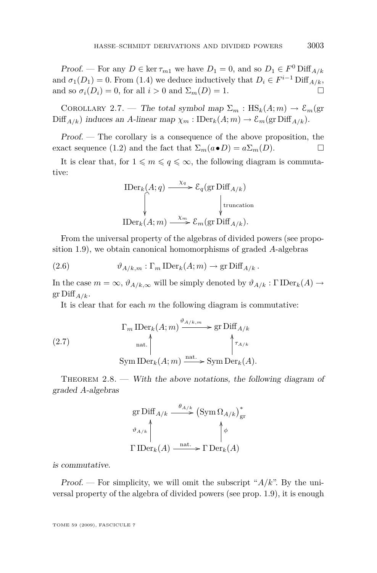<span id="page-25-0"></span>Proof. — For any  $D \in \ker \tau_{m1}$  we have  $D_1 = 0$ , and so  $D_1 \in F^0$  Diff<sub>A/k</sub> and  $\sigma_1(D_1) = 0$ . From [\(1.4\)](#page-9-0) we deduce inductively that  $D_i \in F^{i-1}$  Diff<sub>A/k</sub>, and so  $\sigma_i(D_i) = 0$ , for all  $i > 0$  and  $\Sigma_m(D) = 1$ .

COROLLARY 2.7. — The total symbol map  $\Sigma_m : HS_k(A; m) \to \mathcal{E}_m(\text{gr})$  $\text{Diff}_{A/k}$ ) induces an *A*-linear map  $\chi_m: \text{IDer}_k(A; m) \to \mathcal{E}_m(\text{gr Diff}_{A/k}).$ 

Proof. — The corollary is a consequence of the above proposition, the exact sequence [\(1.2\)](#page-6-0) and the fact that  $\Sigma_m(a \bullet D) = a \Sigma_m(D)$ .

It is clear that, for  $1 \leq m \leq q \leq \infty$ , the following diagram is commutative:

$$
\text{IDer}_k(A; q) \xrightarrow{\chi_q} \mathcal{E}_q(\text{gr Diff}_{A/k})
$$
\n
$$
\downarrow \text{truncation}
$$
\n
$$
\text{IDer}_k(A; m) \xrightarrow{\chi_m} \mathcal{E}_m(\text{gr Diff}_{A/k}).
$$

From the universal property of the algebras of divided powers (see proposition [1.9\)](#page-11-0), we obtain canonical homomorphisms of graded *A*-algebras

(2.6) 
$$
\vartheta_{A/k,m} : \Gamma_m \operatorname{IDer}_k(A;m) \to \operatorname{gr} \operatorname{Diff}_{A/k}.
$$

In the case  $m = \infty$ ,  $\vartheta_{A/k,\infty}$  will be simply denoted by  $\vartheta_{A/k} : \Gamma \text{IDer}_k(A) \to$  $gr\,Diff_{A/k}$ .

It is clear that for each *m* the following diagram is commutative:

(2.7) 
$$
\Gamma_m \operatorname{IDer}_k(A; m) \xrightarrow{\vartheta_{A/k,m}} \operatorname{gr} \operatorname{Diff}_{A/k}
$$

$$
\operatorname{Aut} \Bigg\uparrow_{\tau_{A/k}}
$$

$$
\operatorname{Sym} \operatorname{IDer}_k(A; m) \xrightarrow{\operatorname{nat.}} \operatorname{Sym} \operatorname{Der}_k(A).
$$

THEOREM  $2.8.$  — With the above notations, the following diagram of graded *A*-algebras

gr Diff<sub>A/k</sub> 
$$
\xrightarrow{\theta_{A/k}}
$$
 (Sym  $\Omega_{A/k}$ )<sup>\*</sup><sub>gr</sub>  
 $\vartheta_{A/k}$  $\uparrow$   
\n $\Gamma \operatorname{IDer}_k(A) \xrightarrow{\text{nat.}} \Gamma \operatorname{Der}_k(A)$ 

is commutative.

Proof. — For simplicity, we will omit the subscript "*A/k*". By the universal property of the algebra of divided powers (see prop. [1.9\)](#page-11-0), it is enough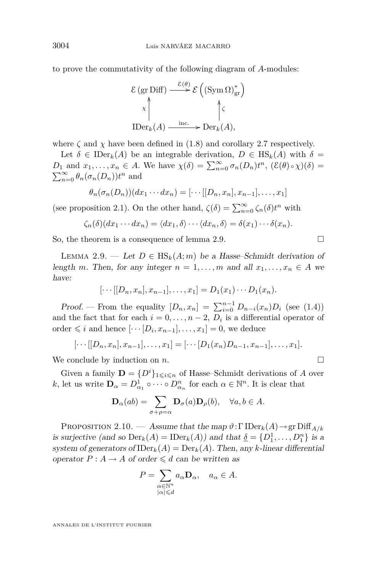<span id="page-26-0"></span>to prove the commutativity of the following diagram of *A*-modules:

$$
\mathcal{E} (\text{gr Diff}) \xrightarrow{\mathcal{E}(\theta)} \mathcal{E} ((\text{Sym } \Omega)_{\text{gr}}^*)
$$
  

$$
\downarrow \qquad \qquad \downarrow \qquad \qquad \downarrow \qquad \qquad \downarrow
$$
  

$$
\text{IDer}_k(A) \xrightarrow{\text{inc.}} \text{Der}_k(A),
$$

where  $\zeta$  and  $\chi$  have been defined in [\(1.8\)](#page-13-0) and corollary [2.7](#page-25-0) respectively.

Let  $\delta \in \text{IDer}_k(A)$  be an integrable derivation,  $D \in \text{HS}_k(A)$  with  $\delta =$ *D*<sub>1</sub> and  $x_1, \ldots, x_n \in A$ . We have  $\chi(\delta) = \sum_{n=0}^{\infty} \sigma_n(D_n) t^n$ ,  $(\mathcal{E}(\theta) \circ \chi)(\delta) =$  $\sum_{n=0}^{\infty} \theta_n(\sigma_n(D_n)) t^n$  and

$$
\theta_n(\sigma_n(D_n))(dx_1\cdots dx_n) = [\cdots[[D_n,x_n],x_{n-1}],\ldots,x_1]
$$

(see proposition [2.1\)](#page-18-0). On the other hand,  $\zeta(\delta) = \sum_{n=0}^{\infty} \zeta_n(\delta) t^n$  with

$$
\zeta_n(\delta)(dx_1\cdots dx_n)=\langle dx_1,\delta\rangle\cdots\langle dx_n,\delta\rangle=\delta(x_1)\cdots\delta(x_n).
$$

So, the theorem is a consequence of lemma 2.9.

LEMMA 2.9. — Let  $D \in \text{HS}_k(A; m)$  be a Hasse–Schmidt derivation of length *m*. Then, for any integer  $n = 1, \ldots, m$  and all  $x_1, \ldots, x_n \in A$  we have:

$$
[\cdots[[D_n,x_n],x_{n-1}],\ldots,x_1]=D_1(x_1)\cdots D_1(x_n).
$$

*Proof.* — From the equality  $[D_n, x_n] = \sum_{i=0}^{n-1} D_{n-i}(x_n) D_i$  (see [\(1.4\)](#page-9-0)) and the fact that for each  $i = 0, \ldots, n-2, D_i$  is a differential operator of order  $\leq i$  and hence  $[\cdots [D_i, x_{n-1}], \ldots, x_1] = 0$ , we deduce

$$
[\cdots[[D_n,x_n],x_{n-1}],\ldots,x_1]=[\cdots[D_1(x_n)D_{n-1},x_{n-1}],\ldots,x_1].
$$

We conclude by induction on  $n$ .

Given a family  $\mathbf{D} = \{D^i\}_{1 \leq i \leq n}$  of Hasse–Schmidt derivations of *A* over *k*, let us write  $\mathbf{D}_{\alpha} = D_{\alpha_1}^1 \circ \cdots \circ D_{\alpha_n}^n$  for each  $\alpha \in \mathbb{N}^n$ . It is clear that

$$
\mathbf{D}_{\alpha}(ab) = \sum_{\sigma + \rho = \alpha} \mathbf{D}_{\sigma}(a) \mathbf{D}_{\rho}(b), \quad \forall a, b \in A.
$$

Proposition 2.10. — Assume that the map *ϑ*:Γ IDer*k*(*A*)*→*gr Diff*A/k* is surjective (and so  $Der_k(A) = IDer_k(A)$ ) and that  $\underline{\delta} = \{D_1^1, \ldots, D_1^n\}$  is a system of generators of  $\text{IDer}_k(A) = \text{Der}_k(A)$ . Then, any *k*-linear differential operator  $P: A \to A$  of order  $\leq d$  can be written as

$$
P = \sum_{\substack{\alpha \in \mathbb{N}^n \\ |\alpha| \le d}} a_{\alpha} \mathbf{D}_{\alpha}, \quad a_{\alpha} \in A.
$$

$$
\Box
$$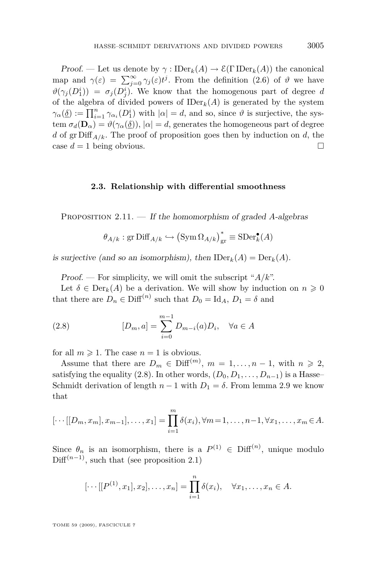<span id="page-27-0"></span>Proof. — Let us denote by  $\gamma : \text{IDer}_k(A) \to \mathcal{E}(\Gamma \text{IDer}_k(A))$  the canonical map and  $\gamma(\varepsilon) = \sum_{j=0}^{\infty} \gamma_j(\varepsilon) t^j$ . From the definition [\(2.6\)](#page-25-0) of  $\vartheta$  we have  $\vartheta(\gamma_j(D_1^i)) = \sigma_j(D_j^i)$ . We know that the homogenous part of degree *d* of the algebra of divided powers of  $\text{IDer}_k(A)$  is generated by the system  $\gamma_{\alpha}(\underline{\delta}) := \prod_{i=1}^{n} \gamma_{\alpha_i}(D_1^i)$  with  $|\alpha| = d$ , and so, since  $\vartheta$  is surjective, the system  $\sigma_d(\mathbf{D}_\alpha) = \vartheta(\gamma_\alpha(\underline{\delta}))$ ,  $|\alpha| = d$ , generates the homogeneous part of degree *d* of gr  $\text{Diff}_{A/k}$ . The proof of proposition goes then by induction on *d*, the case  $d = 1$  being obvious.

#### **2.3. Relationship with differential smoothness**

Proposition 2.11. — If the homomorphism of graded *A*-algebras

$$
\theta_{A/k}:\mathrm{gr}\,\text{Diff}_{A/k}\hookrightarrow \left(\text{Sym}\,\Omega_{A/k}\right)^*_{\mathrm{gr}}\equiv \text{SDer}^\bullet_k(A)
$$

is surjective (and so an isomorphism), then  $\text{IDer}_k(A) = \text{Der}_k(A)$ .

Proof. — For simplicity, we will omit the subscript "*A/k*".

Let  $\delta \in \text{Der}_k(A)$  be a derivation. We will show by induction on  $n \geq 0$ that there are  $D_n \in \text{Diff}^{(n)}$  such that  $D_0 = \text{Id}_A$ ,  $D_1 = \delta$  and

(2.8) 
$$
[D_m, a] = \sum_{i=0}^{m-1} D_{m-i}(a) D_i, \quad \forall a \in A
$$

for all  $m \geq 1$ . The case  $n = 1$  is obvious.

Assume that there are  $D_m \in \text{Diff}^{(m)}$ ,  $m = 1, \ldots, n-1$ , with  $n \geq 2$ , satisfying the equality (2.8). In other words,  $(D_0, D_1, \ldots, D_{n-1})$  is a Hasse– Schmidt derivation of length  $n-1$  with  $D_1 = \delta$ . From lemma [2.9](#page-26-0) we know that

$$
[\cdots[[D_m, x_m], x_{m-1}], \dots, x_1] = \prod_{i=1}^m \delta(x_i), \forall m = 1, \dots, n-1, \forall x_1, \dots, x_m \in A.
$$

Since  $\theta_n$  is an isomorphism, there is a  $P^{(1)} \in \text{Diff}^{(n)}$ , unique modulo Diff<sup> $(n-1)$ </sup>, such that (see proposition [2.1\)](#page-18-0)

$$
[\cdots[[P^{(1)}, x_1], x_2], \ldots, x_n] = \prod_{i=1}^n \delta(x_i), \quad \forall x_1, \ldots, x_n \in A.
$$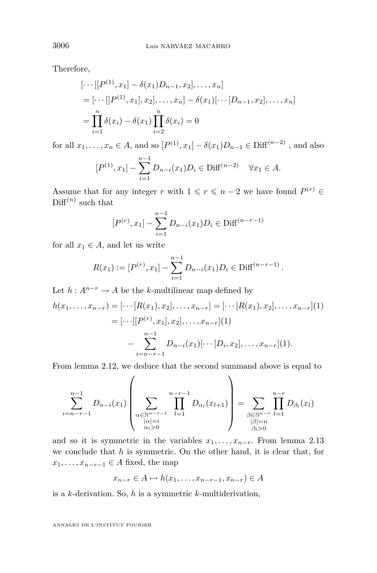Therefore,

$$
[\cdots[[P^{(1)}, x_1] - \delta(x_1)D_{n-1}, x_2], \dots, x_n]
$$
  
= 
$$
[\cdots[[P^{(1)}, x_1], x_2], \dots, x_n] - \delta(x_1)[\cdots[D_{n-1}, x_2], \dots, x_n]
$$
  
= 
$$
\prod_{i=1}^n \delta(x_i) - \delta(x_1) \prod_{i=2}^n \delta(x_i) = 0
$$

for all  $x_1, ..., x_n \in A$ , and so  $[P^{(1)}, x_1] - \delta(x_1)D_{n-1} \in \text{Diff}^{(n-2)}$ , and also

$$
[P^{(1)}, x_1] - \sum_{i=1}^{n-1} D_{n-i}(x_1) D_i \in \text{Diff}^{(n-2)} \quad \forall x_1 \in A.
$$

Assume that for any integer *r* with  $1 \leq r \leq n-2$  we have found  $P^{(r)} \in$  $\text{Diff}^{(n)}$  such that

$$
[P^{(r)}, x_1] - \sum_{i=1}^{n-1} D_{n-i}(x_1) D_i \in \text{Diff}^{(n-r-1)}
$$

for all  $x_1 \in A$ , and let us write

$$
R(x_1) := [P^{(r)}, x_1] - \sum_{i=1}^{n-1} D_{n-i}(x_1) D_i \in \text{Diff}^{(n-r-1)}.
$$

Let  $h: A^{n-r} \to A$  be the *k*-multilinear map defined by

$$
h(x_1, \ldots, x_{n-r}) = [\cdots [R(x_1), x_2], \ldots, x_{n-r}] = [\cdots [R(x_1), x_2], \ldots, x_{n-r}](1)
$$
  
= 
$$
[\cdots [[P^{(r)}, x_1], x_2], \ldots, x_{n-r}](1)
$$
  

$$
-\sum_{i=n-r-1}^{n-1} D_{n-i}(x_1)[\cdots [D_i, x_2], \ldots, x_{n-r}](1).
$$

From lemma [2.12,](#page-29-0) we deduce that the second summand above is equal to

$$
\sum_{i=n-r-1}^{n-1} D_{n-i}(x_1) \left( \sum_{\substack{\alpha \in \mathbb{N}^{n-r-1} \\ |\alpha|=i \\ \alpha_i > 0}} \prod_{l=1}^{n-r-1} D_{\alpha_l}(x_{l+1}) \right) = \sum_{\substack{\beta \in \mathbb{N}^{n-r} \\ |\beta|=n \\ \beta_i > 0}} \prod_{l=1}^{n-r} D_{\beta_l}(x_l)
$$

and so it is symmetric in the variables  $x_1, \ldots, x_{n-r}$ . From lemma [2.13](#page-30-0) we conclude that *h* is symmetric. On the other hand, it is clear that, for  $x_1, \ldots, x_{n-r-1} \in A$  fixed, the map

$$
x_{n-r} \in A \mapsto h(x_1, \dots, x_{n-r-1}, x_{n-r}) \in A
$$

is a *k*-derivation. So, *h* is a symmetric *k*-multiderivation,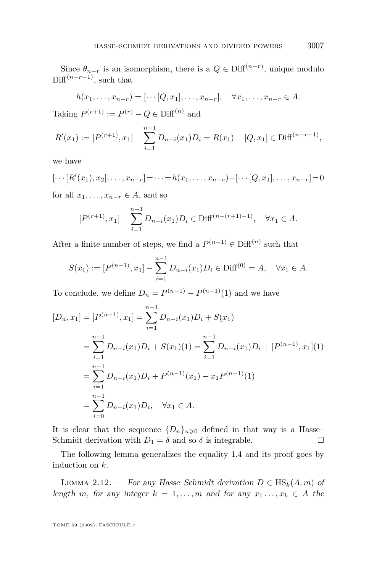<span id="page-29-0"></span>Since  $\theta_{n-r}$  is an isomorphism, there is a  $Q \in \text{Diff}^{(n-r)}$ , unique modulo Diff<sup> $(n-r-1)$ </sup>, such that

$$
h(x_1,\ldots,x_{n-r})=[\cdots [Q,x_1],\ldots,x_{n-r}], \quad \forall x_1,\ldots,x_{n-r}\in A.
$$

Taking  $P^{(r+1)} := P^{(r)} - Q \in \text{Diff}^{(n)}$  and

$$
R'(x_1) := [P^{(r+1)}, x_1] - \sum_{i=1}^{n-1} D_{n-i}(x_1)D_i = R(x_1) - [Q, x_1] \in \text{Diff}^{(n-r-1)},
$$

we have

$$
[\cdots [R'(x_1), x_2], \ldots, x_{n-r}] = \cdots = h(x_1, \ldots, x_{n-r}) - [\cdots [Q, x_1], \ldots, x_{n-r}] = 0
$$

for all  $x_1, \ldots, x_{n-r} \in A$ , and so

$$
[P^{(r+1)}, x_1] - \sum_{i=1}^{n-1} D_{n-i}(x_1) D_i \in \text{Diff}^{(n-(r+1)-1)}, \quad \forall x_1 \in A.
$$

After a finite number of steps, we find a  $P^{(n-1)} \in \text{Diff}^{(n)}$  such that

$$
S(x_1) := [P^{(n-1)}, x_1] - \sum_{i=1}^{n-1} D_{n-i}(x_1) D_i \in \text{Diff}^{(0)} = A, \quad \forall x_1 \in A.
$$

To conclude, we define  $D_n = P^{(n-1)} - P^{(n-1)}(1)$  and we have

$$
[D_n, x_1] = [P^{(n-1)}, x_1] = \sum_{i=1}^{n-1} D_{n-i}(x_1)D_i + S(x_1)
$$
  
\n
$$
= \sum_{i=1}^{n-1} D_{n-i}(x_1)D_i + S(x_1)(1) = \sum_{i=1}^{n-1} D_{n-i}(x_1)D_i + [P^{(n-1)}, x_1](1)
$$
  
\n
$$
= \sum_{i=1}^{n-1} D_{n-i}(x_1)D_i + P^{(n-1)}(x_1) - x_1 P^{(n-1)}(1)
$$
  
\n
$$
= \sum_{i=0}^{n-1} D_{n-i}(x_1)D_i, \quad \forall x_1 \in A.
$$

It is clear that the sequence  ${D_n}_{n\geqslant0}$  defined in that way is a Hasse– Schmidt derivation with  $D_1 = \delta$  and so  $\delta$  is integrable.

The following lemma generalizes the equality [1.4](#page-9-0) and its proof goes by induction on *k*.

LEMMA 2.12. — For any Hasse–Schmidt derivation  $D \in HS_k(A; m)$  of length *m*, for any integer  $k = 1, \ldots, m$  and for any  $x_1, \ldots, x_k \in A$  the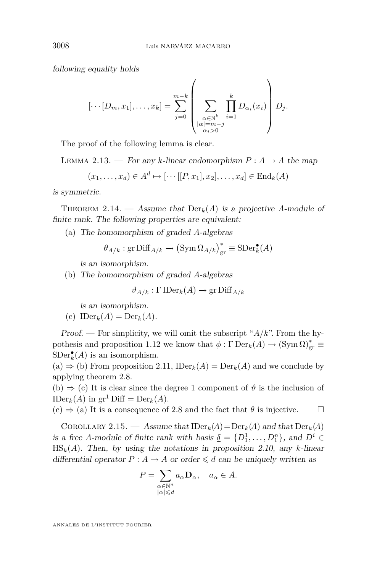<span id="page-30-0"></span>following equality holds

$$
[\cdots [D_m, x_1], \ldots, x_k] = \sum_{j=0}^{m-k} \left( \sum_{\substack{\alpha \in \mathbb{N}^k \\ |\alpha| = m - j \\ \alpha_i > 0}} \prod_{i=1}^k D_{\alpha_i}(x_i) \right) D_j.
$$

The proof of the following lemma is clear.

LEMMA 2.13. — For any *k*-linear endomorphism  $P: A \rightarrow A$  the map

$$
(x_1, \ldots, x_d) \in A^d \mapsto [\cdots [[P, x_1], x_2], \ldots, x_d] \in \text{End}_k(A)
$$

is symmetric.

THEOREM 2.14. — Assume that  $Der_k(A)$  is a projective *A*-module of finite rank. The following properties are equivalent:

(a) The homomorphism of graded *A*-algebras

$$
\theta_{A/k}
$$
: gr  $\text{Diff}_{A/k} \to (\text{Sym} \Omega_{A/k})^*_{\text{gr}} \equiv \text{SDer}_k^{\bullet}(A)$ 

is an isomorphism.

(b) The homomorphism of graded *A*-algebras

$$
\vartheta_{A/k} : \Gamma \operatorname{IDer}_k(A) \to \operatorname{gr} \operatorname{Diff}_{A/k}
$$

is an isomorphism.

(c) 
$$
\text{IDer}_k(A) = \text{Der}_k(A)
$$
.

Proof. — For simplicity, we will omit the subscript "*A/k*". From the hy-pothesis and proposition [1.12](#page-14-0) we know that  $\phi : \Gamma \operatorname{Der}_k(A) \to (\operatorname{Sym} \Omega)_{\text{gr}}^* \equiv$  $SDer_{k}^{\bullet}(A)$  is an isomorphism.

(a) *⇒* (b) From proposition [2.11,](#page-27-0) IDer*k*(*A*) = Der*k*(*A*) and we conclude by applying theorem [2.8.](#page-25-0)

(b)  $\Rightarrow$  (c) It is clear since the degree 1 component of  $\vartheta$  is the inclusion of  $\text{IDer}_k(A)$  in  $\text{gr}^1 \text{Diff} = \text{Der}_k(A)$ .

 $(c) \Rightarrow$  (a) It is a consequence of [2.8](#page-25-0) and the fact that  $\theta$  is injective.  $\square$ 

COROLLARY 2.15. — Assume that  $\text{IDer}_k(A) = \text{Der}_k(A)$  and that  $\text{Der}_k(A)$ is a free *A*-module of finite rank with basis  $\underline{\delta} = \{D_1^1, \ldots, D_1^n\}$ , and  $D^i \in$  $\text{HS}_k(A)$ . Then, by using the notations in proposition [2.10,](#page-26-0) any *k*-linear differential operator  $P: A \to A$  or order  $\leq d$  can be uniquely written as

$$
P = \sum_{\substack{\alpha \in \mathbb{N}^n \\ |\alpha| \le d}} a_{\alpha} \mathbf{D}_{\alpha}, \quad a_{\alpha} \in A.
$$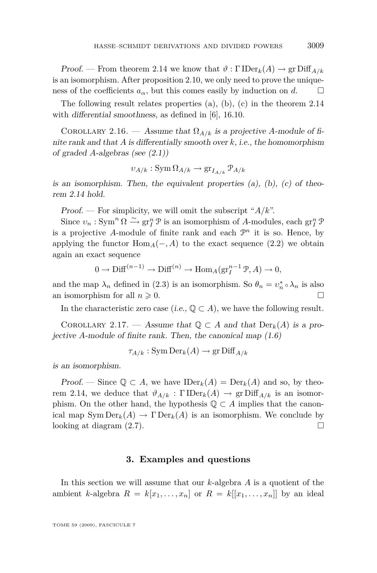<span id="page-31-0"></span>Proof. — From theorem [2.14](#page-30-0) we know that  $\vartheta : \Gamma \text{IDer}_k(A) \to \text{gr Diff}_{A/k}$ is an isomorphism. After proposition [2.10,](#page-26-0) we only need to prove the uniqueness of the coefficients  $a_{\alpha}$ , but this comes easily by induction on *d*.

The following result relates properties (a), (b), (c) in the theorem [2.14](#page-30-0) with differential smoothness, as defined in [\[6\]](#page-35-0), 16.10.

COROLLARY 2.16. — Assume that  $\Omega_{A/k}$  is a projective *A*-module of finite rank and that *A* is differentially smooth over *k*, i.e., the homomorphism of graded *A*-algebras (see [\(2.1\)](#page-18-0))

$$
v_{A/k}: \operatorname{Sym} \Omega_{A/k} \to \operatorname{gr}_{I_{A/k}} \mathcal{P}_{A/k}
$$

is an isomorphism. Then, the equivalent properties  $(a)$ ,  $(b)$ ,  $(c)$  of theorem [2.14](#page-30-0) hold.

Proof. — For simplicity, we will omit the subscript "*A/k*".

Since  $v_n$ : Sym<sup>n</sup>  $\Omega \xrightarrow{\sim} \text{gr}^n_I \mathcal{P}$  is an isomorphism of *A*-modules, each  $\text{gr}^n_I \mathcal{P}$ is a projective A-module of finite rank and each  $\mathcal{P}^n$  it is so. Hence, by applying the functor  $\text{Hom}_{A}(-, A)$  to the exact sequence [\(2.2\)](#page-18-0) we obtain again an exact sequence

$$
0 \to \text{Diff}^{(n-1)} \to \text{Diff}^{(n)} \to \text{Hom}_A(\text{gr}_I^{n-1} \mathcal{P}, A) \to 0,
$$

and the map  $\lambda_n$  defined in [\(2.3\)](#page-18-0) is an isomorphism. So  $\theta_n = v_n^* \circ \lambda_n$  is also an isomorphism for all  $n \geq 0$ .

In the characteristic zero case (i.e.,  $\mathbb{Q} \subset A$ ), we have the following result.

COROLLARY 2.17. — Assume that  $\mathbb{Q} \subset A$  and that  $\text{Der}_k(A)$  is a projective *A*-module of finite rank. Then, the canonical map [\(1.6\)](#page-9-0)

$$
\tau_{A/k}: \operatorname{Sym} \operatorname{Der}_k(A) \to \operatorname{gr} \operatorname{Diff}_{A/k}
$$

is an isomorphism.

Proof. — Since  $\mathbb{Q} \subset A$ , we have  $\text{IDer}_k(A) = \text{Der}_k(A)$  and so, by theo-rem [2.14,](#page-30-0) we deduce that  $\vartheta_{A/k} : \Gamma \text{IDer}_k(A) \to \text{gr Diff}_{A/k}$  is an isomorphism. On the other hand, the hypothesis  $\mathbb{Q} \subset A$  implies that the canonical map  $\text{Sym Der}_k(A) \to \Gamma \text{Der}_k(A)$  is an isomorphism. We conclude by looking at diagram  $(2.7)$ .

#### **3. Examples and questions**

In this section we will assume that our *k*-algebra *A* is a quotient of the ambient *k*-algebra  $R = k[x_1, \ldots, x_n]$  or  $R = k[[x_1, \ldots, x_n]]$  by an ideal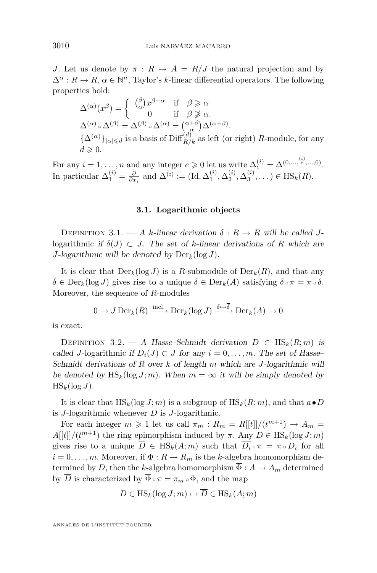*J*. Let us denote by  $\pi$  :  $R \to A = R/J$  the natural projection and by  $\Delta^{\alpha}: R \to R, \, \alpha \in \mathbb{N}^n$ , Taylor's *k*-linear differential operators. The following properties hold:

$$
\Delta^{(\alpha)}(x^{\beta}) = \begin{cases}\n(\substack{\beta \\ \alpha} x^{\beta - \alpha} & \text{if } \beta \ge \alpha \\
0 & \text{if } \beta \ge \alpha.\n\end{cases}
$$
\n
$$
\Delta^{(\alpha)} \circ \Delta^{(\beta)} = \Delta^{(\beta)} \circ \Delta^{(\alpha)} = \begin{pmatrix} \alpha + \beta \\ \alpha \end{pmatrix} \Delta^{(\alpha + \beta)}.
$$
\n
$$
\{\Delta^{(\alpha)}\}_{|\alpha| \le d} \text{ is a basis of Diff}_{R/k}^{(d)} \text{ as left (or right) } R\text{-module, for any } d \ge 0.
$$

For any  $i = 1, \ldots, n$  and any integer  $e \ge 0$  let us write  $\Delta_e^{(i)} = \Delta^{(0, \ldots, e^i, \ldots, 0)}$ . In particular  $\Delta_1^{(i)} = \frac{\partial}{\partial x_i}$  and  $\Delta^{(i)} := (\text{Id}, \Delta_1^{(i)}, \Delta_2^{(i)}, \Delta_3^{(i)}, \dots) \in \text{HS}_k(R)$ .

#### **3.1. Logarithmic objects**

DEFINITION 3.1. — A *k*-linear derivation  $\delta: R \to R$  will be called *J*logarithmic if  $\delta(J) \subset J$ . The set of *k*-linear derivations of *R* which are *J*-logarithmic will be denoted by  $Der_k(\log J)$ .

It is clear that  $Der_k(\log J)$  is a *R*-submodule of  $Der_k(R)$ , and that any  $\delta \in \text{Der}_k(\log J)$  gives rise to a unique  $\overline{\delta} \in \text{Der}_k(A)$  satisfying  $\overline{\delta} \circ \pi = \pi \circ \delta$ . Moreover, the sequence of *R*-modules

$$
0 \to J \operatorname{Der}_k(R) \xrightarrow{\operatorname{incl.}} \operatorname{Der}_k(\log J) \xrightarrow{\delta \mapsto \overline{\delta}} \operatorname{Der}_k(A) \to 0
$$

is exact.

DEFINITION 3.2. — A Hasse–Schmidt derivation  $D \in \text{HS}_k(R; m)$  is called *J*-logarithmic if  $D_i(J) \subset J$  for any  $i = 0, \ldots, m$ . The set of Hasse– Schmidt derivations of *R* over *k* of length *m* which are *J*-logarithmic will be denoted by  $\text{HS}_k(\log J; m)$ . When  $m = \infty$  it will be simply denoted by  $\text{HS}_k(\log J)$ .

It is clear that  $\text{HS}_k(\log J; m)$  is a subgroup of  $\text{HS}_k(R; m)$ , and that  $a \bullet D$ is *J*-logarithmic whenever *D* is *J*-logarithmic.

For each integer  $m \geq 1$  let us call  $\pi_m : R_m = R[[t]]/(t^{m+1}) \to A_m =$  $A[[t]]/(t^{m+1})$  the ring epimorphism induced by  $\pi$ . Any  $D \in \text{HS}_k(\log J; m)$ gives rise to a unique  $\overline{D} \in HS_k(A; m)$  such that  $\overline{D_i} \circ \pi = \pi \circ D_i$  for all  $i = 0, \ldots, m$ . Moreover, if  $\Phi : R \to R_m$  is the *k*-algebra homomorphism determined by *D*, then the *k*-algebra homomorphism  $\Phi: A \to A_m$  determined by  $\overline{D}$  is characterized by  $\overline{\Phi} \circ \pi = \pi_m \circ \Phi$ , and the map

$$
D \in \text{HS}_k(\log J; m) \mapsto D \in \text{HS}_k(A; m)
$$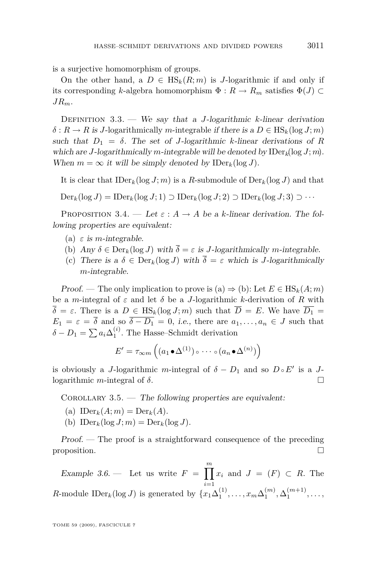<span id="page-33-0"></span>is a surjective homomorphism of groups.

On the other hand, a  $D \in \text{HS}_k(R; m)$  is *J*-logarithmic if and only if its corresponding *k*-algebra homomorphism  $\Phi : R \to R_m$  satisfies  $\Phi(J) \subset$ *JRm*.

Definition 3.3. — We say that a *J*-logarithmic *k*-linear derivation  $\delta$ :  $R \to R$  is *J*-logarithmically *m*-integrable if there is a  $D \in \text{HS}_k(\log J; m)$ such that  $D_1 = \delta$ . The set of *J*-logarithmic *k*-linear derivations of *R* which are *J*-logarithmically *m*-integrable will be denoted by IDer*k*(log *J*; *m*). When  $m = \infty$  it will be simply denoted by  $\text{IDer}_k(\log J)$ .

It is clear that  $\text{IDer}_k(\log J; m)$  is a *R*-submodule of  $\text{Der}_k(\log J)$  and that

 $\text{Der}_k(\log J) = \text{IDer}_k(\log J; 1) \supset \text{IDer}_k(\log J; 2) \supset \text{IDer}_k(\log J; 3) \supset \cdots$ 

PROPOSITION 3.4. — Let  $\varepsilon$  :  $A \rightarrow A$  be a *k*-linear derivation. The following properties are equivalent:

- (a)  $\varepsilon$  is *m*-integrable.
- (b) Any  $\delta \in \text{Der}_k(\log J)$  with  $\overline{\delta} = \varepsilon$  is *J*-logarithmically *m*-integrable.
- (c) There is a  $\delta \in \text{Der}_k(\log J)$  with  $\overline{\delta} = \varepsilon$  which is *J*-logarithmically *m*-integrable.

Proof. — The only implication to prove is (a)  $\Rightarrow$  (b): Let  $E \in HS_k(A; m)$ be a *m*-integral of  $\varepsilon$  and let  $\delta$  be a *J*-logarithmic *k*-derivation of *R* with  $\overline{\delta} = \varepsilon$ . There is a  $D \in \text{HS}_k(\log J; m)$  such that  $\overline{D} = E$ . We have  $\overline{D_1} =$  $E_1 = \varepsilon = \overline{\delta}$  and so  $\overline{\delta - D_1} = 0$ , *i.e.*, there are  $a_1, \ldots, a_n \in J$  such that  $\delta - D_1 = \sum a_i \Delta_1^{(i)}$ . The Hasse–Schmidt derivation

$$
E' = \tau_{\infty m} \left( (a_1 \bullet \Delta^{(1)}) \circ \cdots \circ (a_n \bullet \Delta^{(n)}) \right)
$$

is obviously a *J*-logarithmic *m*-integral of  $\delta - D_1$  and so  $D \circ E'$  is a *J*logarithmic *m*-integral of *δ*.

COROLLARY  $3.5.$  — The following properties are equivalent:

- (a)  $\text{IDer}_k(A; m) = \text{Der}_k(A)$ .
- (b)  $\text{IDer}_k(\log J; m) = \text{Der}_k(\log J)$ .

Proof. — The proof is a straightforward consequence of the preceding proposition.

Example 3.6. — Let us write  $F = \prod_{i=1}^{m} x_i$  and  $J = (F) \subset R$ . The *i*=1 *R*-module IDer<sub>*k*</sub>(log *J*) is generated by  $\{x_1 \Delta_1^{(1)}, \ldots, x_m \Delta_1^{(m)}, \Delta_1^{(m+1)}, \ldots,$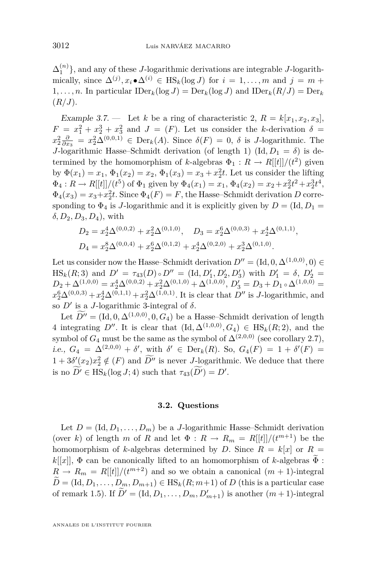<span id="page-34-0"></span> $\Delta_1^{(n)}$ }, and any of these *J*-logarithmic derivations are integrable *J*-logarithmically, since  $\Delta^{(j)}$ ,  $x_i \bullet \Delta^{(i)} \in \text{HS}_k(\log J)$  for  $i = 1, \ldots, m$  and  $j = m +$ 1,..., *n*. In particular  $\text{IDer}_k(\log J) = \text{Der}_k(\log J)$  and  $\text{IDer}_k(R/J) = \text{Der}_k$ (*R/J*).

Example 3.7. — Let *k* be a ring of characteristic 2,  $R = k[x_1, x_2, x_3]$ ,  $F = x_1^2 + x_2^3 + x_3^2$  and  $J = (F)$ . Let us consider the *k*-derivation  $\delta =$  $x_2^2 \frac{\partial}{\partial x_3} = x_2^2 \Delta^{(0,0,1)} \in \text{Der}_k(A)$ . Since  $\delta(F) = 0$ ,  $\delta$  is *J*-logarithmic. The *J*-logarithmic Hasse–Schmidt derivation (of length 1)  $(\text{Id}, D_1 = \delta)$  is determined by the homomorphism of *k*-algebras  $\Phi_1: R \to R[[t]]/(\ell^2)$  given by  $\Phi(x_1) = x_1, \Phi_1(x_2) = x_2, \Phi_1(x_3) = x_3 + x_2^2 t$ . Let us consider the lifting  $\Phi_4: R \to R[[t]]/(t^5)$  of  $\Phi_1$  given by  $\Phi_4(x_1) = x_1, \Phi_4(x_2) = x_2 + x_2^2 t^2 + x_2^3 t^4$ ,  $\Phi_4(x_3) = x_3 + x_2^2 t$ . Since  $\Phi_4(F) = F$ , the Hasse–Schmidt derivation *D* corresponding to  $\Phi_4$  is *J*-logarithmic and it is explicitly given by  $D = (Id, D_1 =$ *δ, D*2*, D*3*, D*4), with

$$
D_2 = x_2^4 \Delta^{(0,0,2)} + x_2^2 \Delta^{(0,1,0)}, \quad D_3 = x_2^6 \Delta^{(0,0,3)} + x_2^4 \Delta^{(0,1,1)},
$$
  
\n
$$
D_4 = x_2^8 \Delta^{(0,0,4)} + x_2^6 \Delta^{(0,1,2)} + x_2^4 \Delta^{(0,2,0)} + x_2^3 \Delta^{(0,1,0)}.
$$

Let us consider now the Hasse–Schmidt derivation  $D'' = (\text{Id}, 0, \Delta^{(1,0,0)}, 0) \in$  $\text{HS}_k(R; 3)$  and  $D' = \tau_{43}(D) \circ D'' = (\text{Id}, D'_1, D'_2, D'_3)$  with  $D'_1 = \delta, D'_2 = \delta$  $D_2 + \Delta^{(1,0,0)} = x_2^4 \Delta^{(0,0,2)} + x_2^2 \Delta^{(0,1,0)} + \Delta^{(1,0,0)}, D'_3 = D_3 + D_1 \circ \Delta^{(1,0,0)} =$  $x_2^6 \Delta^{(0,0,3)} + x_2^4 \Delta^{(0,1,1)} + x_2^2 \Delta^{(1,0,1)}$ . It is clear that *D<sup>o</sup>* is *J*-logarithmic, and so  $D'$  is a *J*-logarithmic 3-integral of  $\delta$ .

Let  $D'' = (\text{Id}, 0, \Delta^{(1,0,0)}, 0, G_4)$  be a Hasse–Schmidt derivation of length 4 integrating *D<sup>n</sup>*. It is clear that  $(\text{Id}, \Delta^{(1,0,0)}, G_4) \in \text{HS}_k(R; 2)$ , and the symbol of  $G_4$  must be the same as the symbol of  $\Delta^{(2,0,0)}$  (see corollary [2.7\)](#page-25-0), i.e.,  $G_4 = \Delta^{(2,0,0)} + \delta'$ , with  $\delta' \in \text{Der}_k(R)$ . So,  $G_4(F) = 1 + \delta'(F) =$  $1 + 3\delta'(x_2)x_2^2 \notin (F)$  and  $D''$  is never *J*-logarithmic. We deduce that there is no  $\widetilde{D'} \in \text{HS}_k(\log J; 4)$  such that  $\tau_{43}(\widetilde{D'}) = D'$ .

#### **3.2. Questions**

Let  $D = (\text{Id}, D_1, \ldots, D_m)$  be a *J*-logarithmic Hasse–Schmidt derivation (over *k*) of length *m* of *R* and let  $\Phi : R \to R_m = R[[t]]/(t^{m+1})$  be the homomorphism of *k*-algebras determined by *D*. Since  $R = k[x]$  or  $R =$  $k[[x]]$ ,  $\Phi$  can be canonically lifted to an homomorphism of *k*-algebras  $\tilde{\Phi}$ :  $R \rightarrow R_m = R[[t]]/(t^{m+2})$  and so we obtain a canonical  $(m + 1)$ -integral  $D = (\text{Id}, D_1, \ldots, D_m, D_{m+1}) \in \text{HS}_k(R; m+1)$  of *D* (this is a particular case of remark [1.5\)](#page-8-0). If  $\tilde{D}' = (\text{Id}, D_1, \ldots, D_m, D'_{m+1})$  is another  $(m+1)$ -integral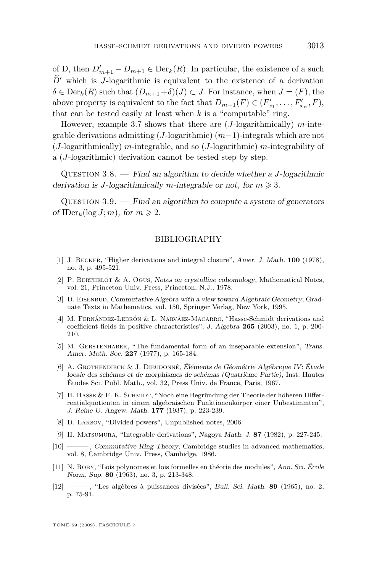<span id="page-35-0"></span>of D, then  $D'_{m+1} - D_{m+1} \in \text{Der}_k(R)$ . In particular, the existence of a such  $D'$  which is *J*-logarithmic is equivalent to the existence of a derivation  $\delta \in \text{Der}_k(R)$  such that  $(D_{m+1}+\delta)(J) \subset J$ . For instance, when  $J = (F)$ , the above property is equivalent to the fact that  $D_{m+1}(F) \in (F'_{x_1}, \ldots, F'_{x_n}, F)$ , that can be tested easily at least when  $k$  is a "computable" ring.

However, example [3.7](#page-34-0) shows that there are (*J*-logarithmically) *m*-integrable derivations admitting (*J*-logarithmic) (*m−*1)-integrals which are not (*J*-logarithmically) *m*-integrable, and so (*J*-logarithmic) *m*-integrability of a (*J*-logarithmic) derivation cannot be tested step by step.

Question 3.8. — Find an algorithm to decide whether a *J*-logarithmic derivation is *J*-logarithmically *m*-integrable or not, for  $m \ge 3$ .

QUESTION  $3.9.$  — Find an algorithm to compute a system of generators of  $\text{IDer}_k(\log J; m)$ , for  $m \geqslant 2$ .

#### BIBLIOGRAPHY

- [1] J. Becker, "Higher derivations and integral closure", Amer. J. Math. **100** (1978), no. 3, p. 495-521.
- [2] P. Berthelot & A. Ogus, Notes on crystalline cohomology, Mathematical Notes, vol. 21, Princeton Univ. Press, Princeton, N.J., 1978.
- [3] D. EISENBUD, Commutative Algebra with a view toward Algebraic Geometry, Graduate Texts in Mathematics, vol. 150, Springer Verlag, New York, 1995.
- [4] M. Fernández-Lebrón & L. Narváez-Macarro, "Hasse-Schmidt derivations and coefficient fields in positive characteristics", J. Algebra **265** (2003), no. 1, p. 200- 210.
- [5] M. Gerstenhaber, "The fundamental form of an inseparable extension", Trans. Amer. Math. Soc. **227** (1977), p. 165-184.
- [6] A. GROTHENDIECK & J. DIEUDONNÉ, Éléments de Géométrie Algébrique IV: Étude locale des schémas et de morphismes de schémas (Quatrième Partie), Inst. Hautes Études Sci. Publ. Math., vol. 32, Press Univ. de France, Paris, 1967.
- [7] H. HASSE & F. K. SCHMIDT, "Noch eine Begründung der Theorie der höheren Differrentialquotienten in einem algebraischen Funktionenkörper einer Unbestimmten", J. Reine U. Angew. Math. **177** (1937), p. 223-239.
- [8] D. Laksov, "Divided powers", Unpublished notes, 2006.
- [9] H. Matsumura, "Integrable derivations", Nagoya Math. J. **87** (1982), p. 227-245.
- [10] ——— , Commutative Ring Theory, Cambridge studies in advanced mathematics, vol. 8, Cambridge Univ. Press, Cambidge, 1986.
- [11] N. Roby, "Lois polynomes et lois formelles en théorie des modules", Ann. Sci. École Norm. Sup. **80** (1963), no. 3, p. 213-348.
- [12] ——— , "Les algèbres à puissances divisées", Bull. Sci. Math. **89** (1965), no. 2, p. 75-91.